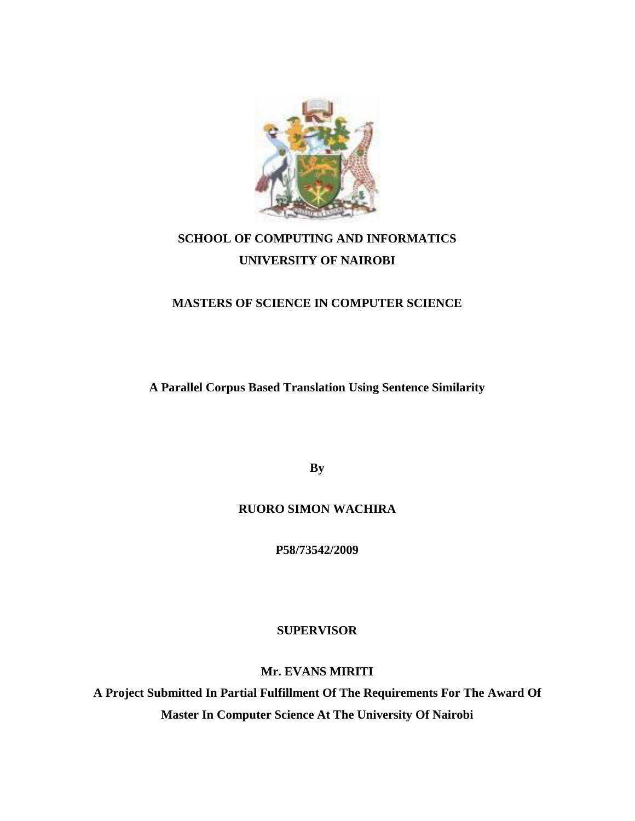

# **SCHOOL OF COMPUTING AND INFORMATICS UNIVERSITY OF NAIROBI**

### **MASTERS OF SCIENCE IN COMPUTER SCIENCE**

**A Parallel Corpus Based Translation Using Sentence Similarity**

**By**

### **RUORO SIMON WACHIRA**

**P58/73542/2009**

**SUPERVISOR**

**Mr. EVANS MIRITI**

**A Project Submitted In Partial Fulfillment Of The Requirements For The Award Of Master In Computer Science At The University Of Nairobi**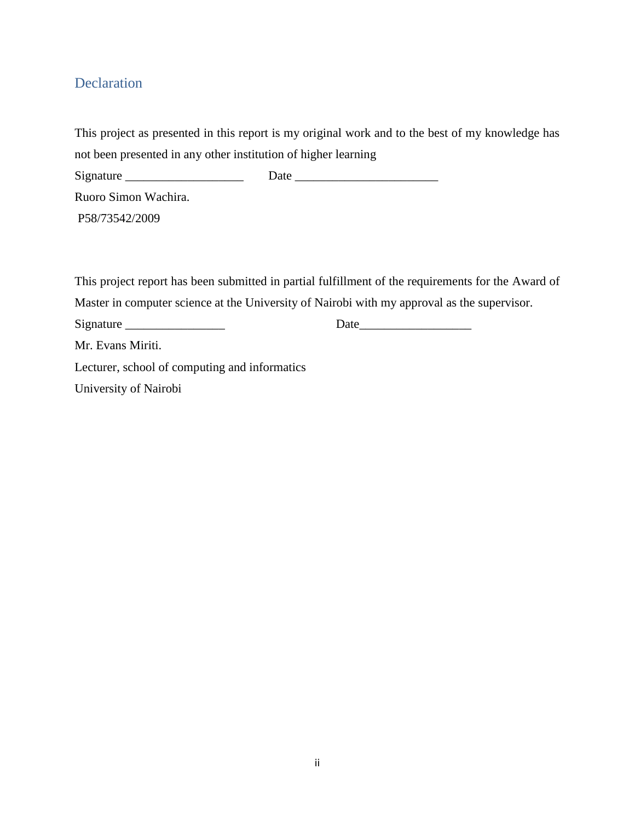# Declaration

|                                                                | This project as presented in this report is my original work and to the best of my knowledge has   |
|----------------------------------------------------------------|----------------------------------------------------------------------------------------------------|
| not been presented in any other institution of higher learning |                                                                                                    |
|                                                                |                                                                                                    |
| Ruoro Simon Wachira.                                           |                                                                                                    |
| P58/73542/2009                                                 |                                                                                                    |
|                                                                |                                                                                                    |
|                                                                |                                                                                                    |
|                                                                | This project report has been submitted in partial fulfillment of the requirements for the Award of |
|                                                                | Master in computer science at the University of Nairobi with my approval as the supervisor.        |
|                                                                | Date                                                                                               |
| Mr. Evans Miriti.                                              |                                                                                                    |
| Lecturer, school of computing and informatics                  |                                                                                                    |

University of Nairobi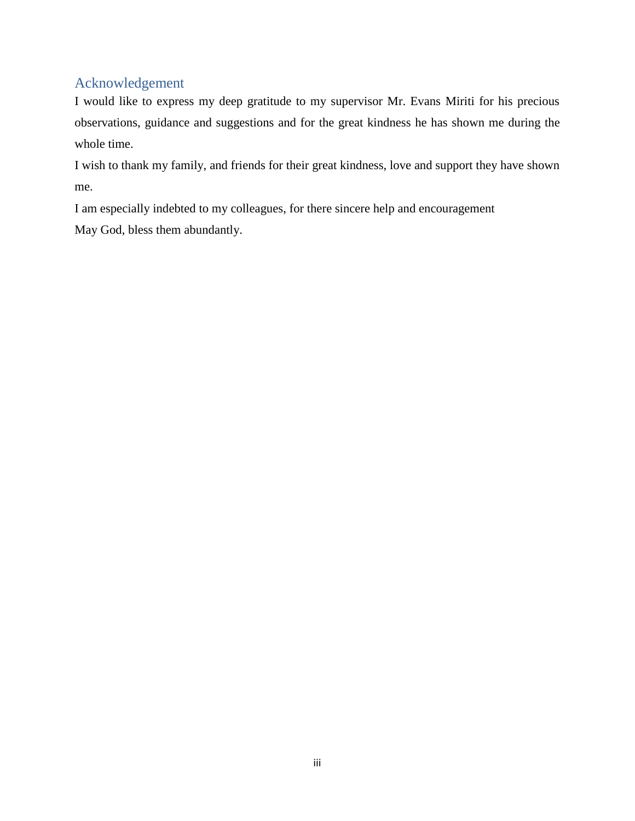# Acknowledgement

I would like to express my deep gratitude to my supervisor Mr. Evans Miriti for his precious observations, guidance and suggestions and for the great kindness he has shown me during the whole time.

I wish to thank my family, and friends for their great kindness, love and support they have shown me.

I am especially indebted to my colleagues, for there sincere help and encouragement

May God, bless them abundantly.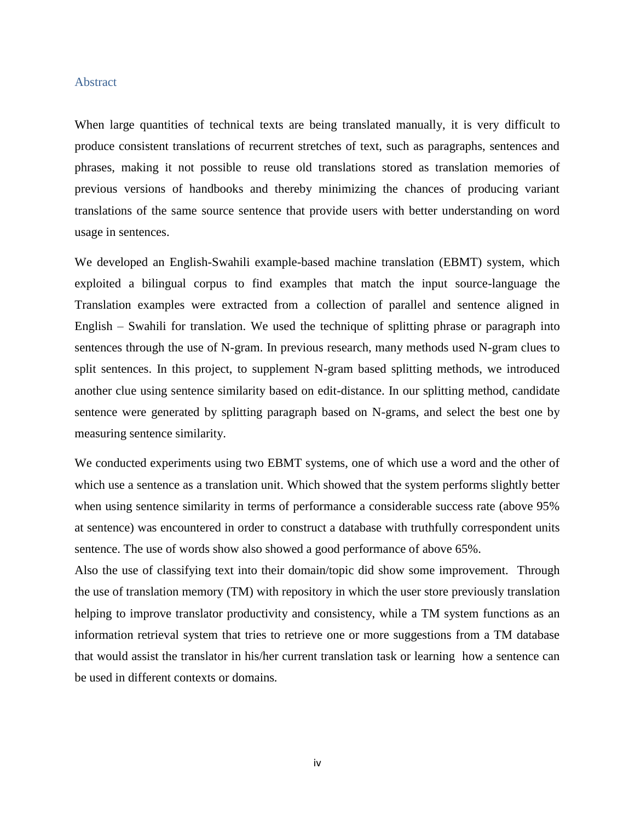#### Abstract

When large quantities of technical texts are being translated manually, it is very difficult to produce consistent translations of recurrent stretches of text, such as paragraphs, sentences and phrases, making it not possible to reuse old translations stored as translation memories of previous versions of handbooks and thereby minimizing the chances of producing variant translations of the same source sentence that provide users with better understanding on word usage in sentences.

We developed an English-Swahili example-based machine translation (EBMT) system, which exploited a bilingual corpus to find examples that match the input source-language the Translation examples were extracted from a collection of parallel and sentence aligned in English – Swahili for translation. We used the technique of splitting phrase or paragraph into sentences through the use of N-gram. In previous research, many methods used N-gram clues to split sentences. In this project, to supplement N-gram based splitting methods, we introduced another clue using sentence similarity based on edit-distance. In our splitting method, candidate sentence were generated by splitting paragraph based on N-grams, and select the best one by measuring sentence similarity.

We conducted experiments using two EBMT systems, one of which use a word and the other of which use a sentence as a translation unit. Which showed that the system performs slightly better when using sentence similarity in terms of performance a considerable success rate (above 95% at sentence) was encountered in order to construct a database with truthfully correspondent units sentence. The use of words show also showed a good performance of above 65%.

Also the use of classifying text into their domain/topic did show some improvement. Through the use of translation memory (TM) with repository in which the user store previously translation helping to improve translator productivity and consistency, while a TM system functions as an information retrieval system that tries to retrieve one or more suggestions from a TM database that would assist the translator in his/her current translation task or learning how a sentence can be used in different contexts or domains*.*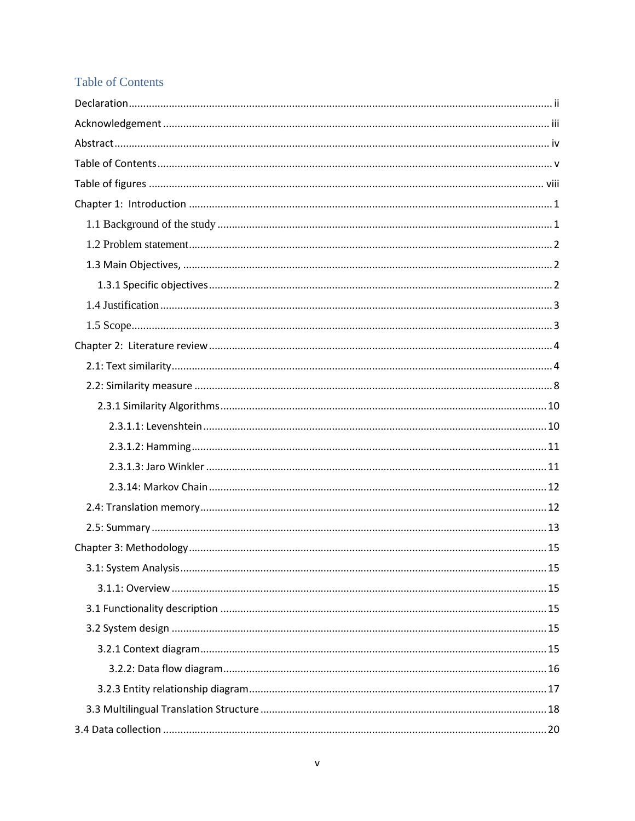# **Table of Contents**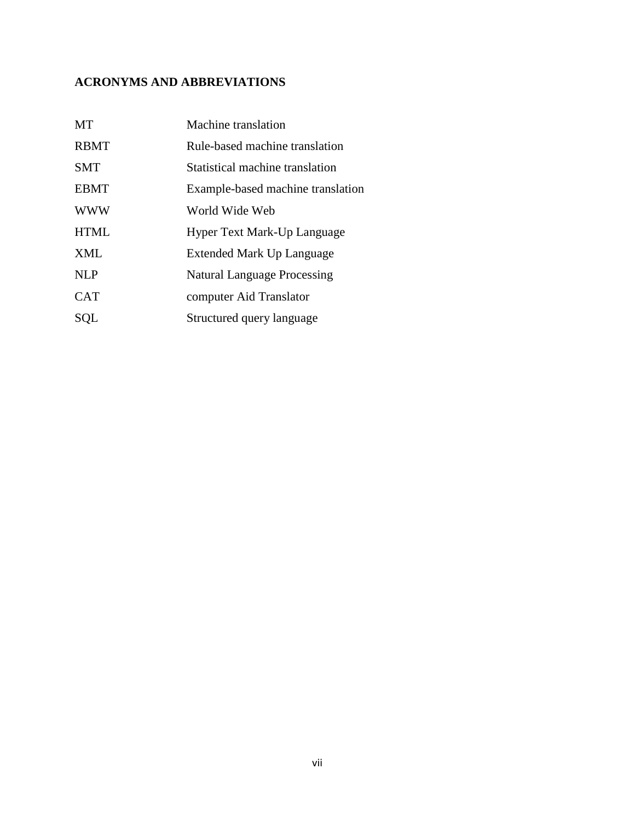# **ACRONYMS AND ABBREVIATIONS**

| MT          | Machine translation                |
|-------------|------------------------------------|
| <b>RBMT</b> | Rule-based machine translation     |
| <b>SMT</b>  | Statistical machine translation    |
| <b>EBMT</b> | Example-based machine translation  |
| <b>WWW</b>  | World Wide Web                     |
| <b>HTML</b> | Hyper Text Mark-Up Language        |
| <b>XML</b>  | Extended Mark Up Language          |
| <b>NLP</b>  | <b>Natural Language Processing</b> |
| <b>CAT</b>  | computer Aid Translator            |
| SQL         | Structured query language          |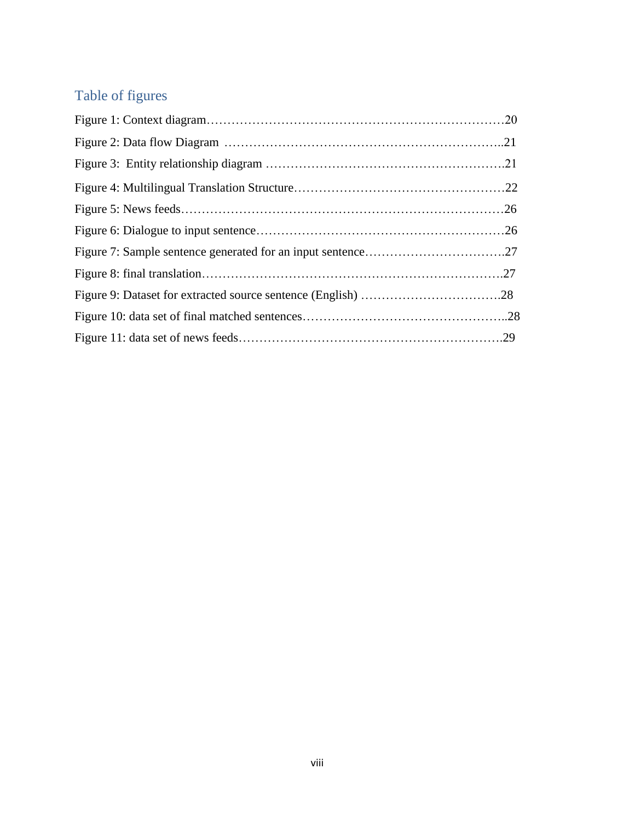# Table of figures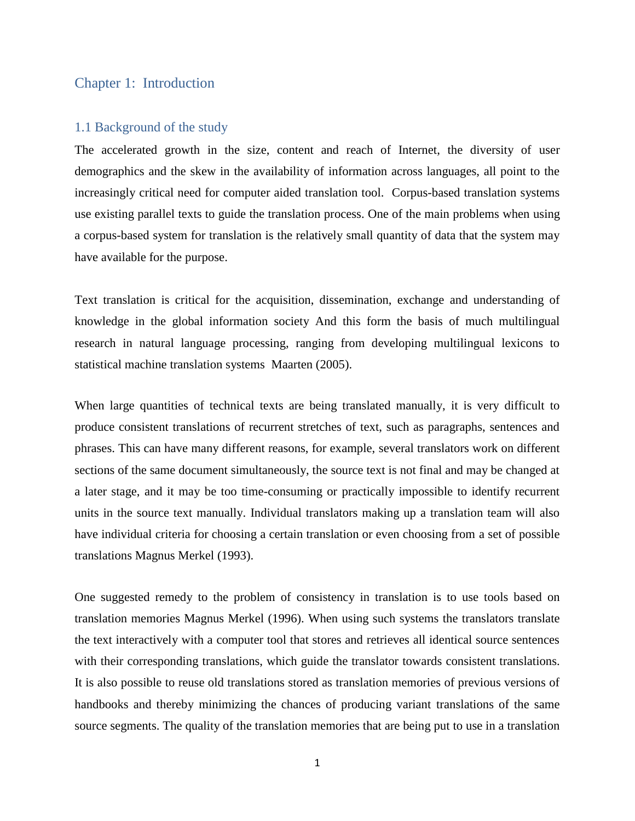#### Chapter 1: Introduction

#### 1.1 Background of the study

The accelerated growth in the size, content and reach of Internet, the diversity of user demographics and the skew in the availability of information across languages, all point to the increasingly critical need for computer aided translation tool. Corpus-based translation systems use existing parallel texts to guide the translation process. One of the main problems when using a corpus-based system for translation is the relatively small quantity of data that the system may have available for the purpose.

Text translation is critical for the acquisition, dissemination, exchange and understanding of knowledge in the global information society And this form the basis of much multilingual research in natural language processing, ranging from developing multilingual lexicons to statistical machine translation systems Maarten (2005).

When large quantities of technical texts are being translated manually, it is very difficult to produce consistent translations of recurrent stretches of text, such as paragraphs, sentences and phrases. This can have many different reasons, for example, several translators work on different sections of the same document simultaneously, the source text is not final and may be changed at a later stage, and it may be too time-consuming or practically impossible to identify recurrent units in the source text manually. Individual translators making up a translation team will also have individual criteria for choosing a certain translation or even choosing from a set of possible translations Magnus Merkel (1993).

One suggested remedy to the problem of consistency in translation is to use tools based on translation memories Magnus Merkel (1996). When using such systems the translators translate the text interactively with a computer tool that stores and retrieves all identical source sentences with their corresponding translations, which guide the translator towards consistent translations. It is also possible to reuse old translations stored as translation memories of previous versions of handbooks and thereby minimizing the chances of producing variant translations of the same source segments. The quality of the translation memories that are being put to use in a translation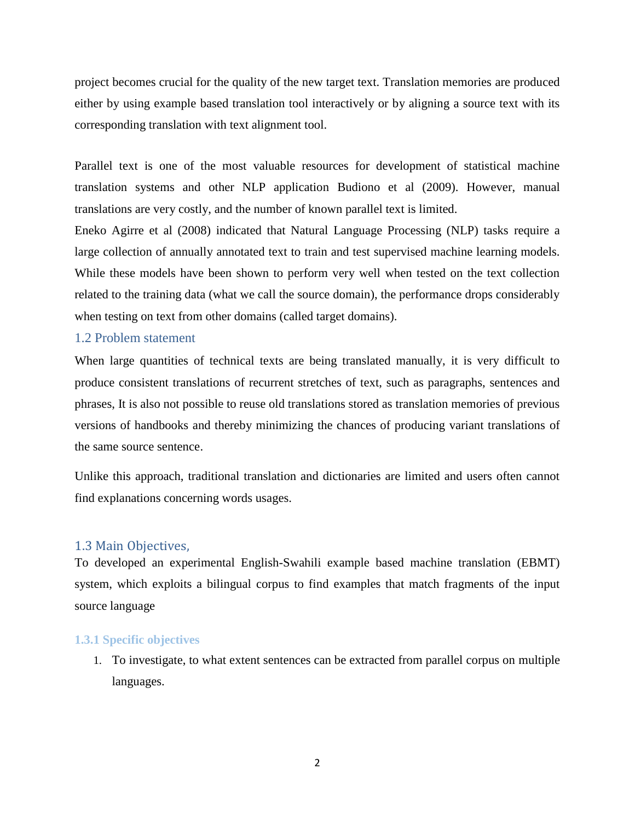project becomes crucial for the quality of the new target text. Translation memories are produced either by using example based translation tool interactively or by aligning a source text with its corresponding translation with text alignment tool.

Parallel text is one of the most valuable resources for development of statistical machine translation systems and other NLP application Budiono et al (2009). However, manual translations are very costly, and the number of known parallel text is limited.

Eneko Agirre et al (2008) indicated that Natural Language Processing (NLP) tasks require a large collection of annually annotated text to train and test supervised machine learning models. While these models have been shown to perform very well when tested on the text collection related to the training data (what we call the source domain), the performance drops considerably when testing on text from other domains (called target domains).

#### 1.2 Problem statement

When large quantities of technical texts are being translated manually, it is very difficult to produce consistent translations of recurrent stretches of text, such as paragraphs, sentences and phrases, It is also not possible to reuse old translations stored as translation memories of previous versions of handbooks and thereby minimizing the chances of producing variant translations of the same source sentence.

Unlike this approach, traditional translation and dictionaries are limited and users often cannot find explanations concerning words usages.

#### 1.3 Main Objectives,

To developed an experimental English-Swahili example based machine translation (EBMT) system, which exploits a bilingual corpus to find examples that match fragments of the input source language

#### **1.3.1 Specific objectives**

1. To investigate, to what extent sentences can be extracted from parallel corpus on multiple languages.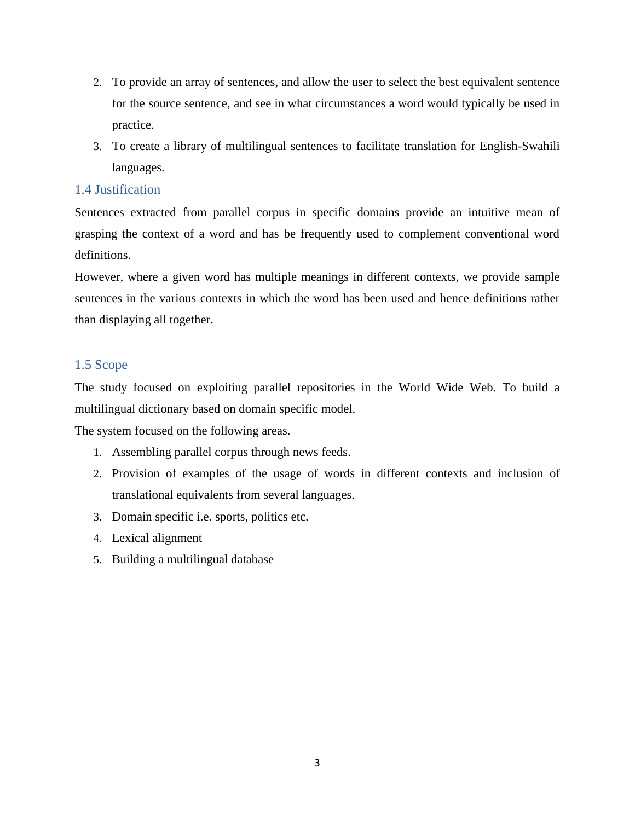- 2. To provide an array of sentences, and allow the user to select the best equivalent sentence for the source sentence, and see in what circumstances a word would typically be used in practice.
- 3. To create a library of multilingual sentences to facilitate translation for English-Swahili languages.

### 1.4 Justification

Sentences extracted from parallel corpus in specific domains provide an intuitive mean of grasping the context of a word and has be frequently used to complement conventional word definitions.

However, where a given word has multiple meanings in different contexts, we provide sample sentences in the various contexts in which the word has been used and hence definitions rather than displaying all together.

### 1.5 Scope

The study focused on exploiting parallel repositories in the World Wide Web. To build a multilingual dictionary based on domain specific model.

The system focused on the following areas.

- 1. Assembling parallel corpus through news feeds.
- 2. Provision of examples of the usage of words in different contexts and inclusion of translational equivalents from several languages.
- 3. Domain specific i.e. sports, politics etc.
- 4. Lexical alignment
- 5. Building a multilingual database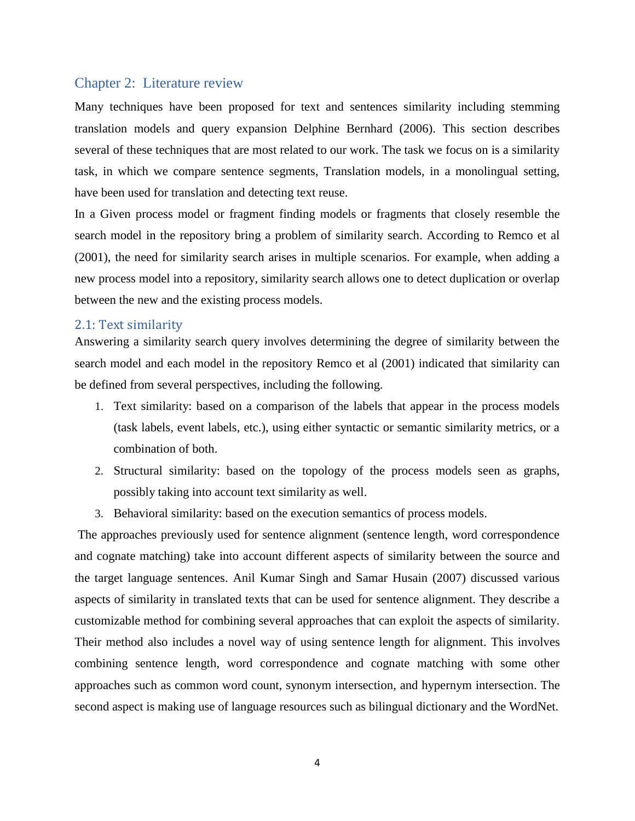#### Chapter 2: Literature review

Many techniques have been proposed for text and sentences similarity including stemming translation models and query expansion Delphine Bernhard (2006). This section describes several of these techniques that are most related to our work. The task we focus on is a similarity task, in which we compare sentence segments, Translation models, in a monolingual setting, have been used for translation and detecting text reuse.

In a Given process model or fragment finding models or fragments that closely resemble the search model in the repository bring a problem of similarity search. According to Remco et al (2001), the need for similarity search arises in multiple scenarios. For example, when adding a new process model into a repository, similarity search allows one to detect duplication or overlap between the new and the existing process models.

#### 2.1: Text similarity

Answering a similarity search query involves determining the degree of similarity between the search model and each model in the repository Remco et al (2001) indicated that similarity can be defined from several perspectives, including the following.

- 1. Text similarity: based on a comparison of the labels that appear in the process models (task labels, event labels, etc.), using either syntactic or semantic similarity metrics, or a combination of both.
- 2. Structural similarity: based on the topology of the process models seen as graphs, possibly taking into account text similarity as well.
- 3. Behavioral similarity: based on the execution semantics of process models.

The approaches previously used for sentence alignment (sentence length, word correspondence and cognate matching) take into account different aspects of similarity between the source and the target language sentences. Anil Kumar Singh and Samar Husain (2007) discussed various aspects of similarity in translated texts that can be used for sentence alignment. They describe a customizable method for combining several approaches that can exploit the aspects of similarity. Their method also includes a novel way of using sentence length for alignment. This involves combining sentence length, word correspondence and cognate matching with some other approaches such as common word count, synonym intersection, and hypernym intersection. The second aspect is making use of language resources such as bilingual dictionary and the WordNet.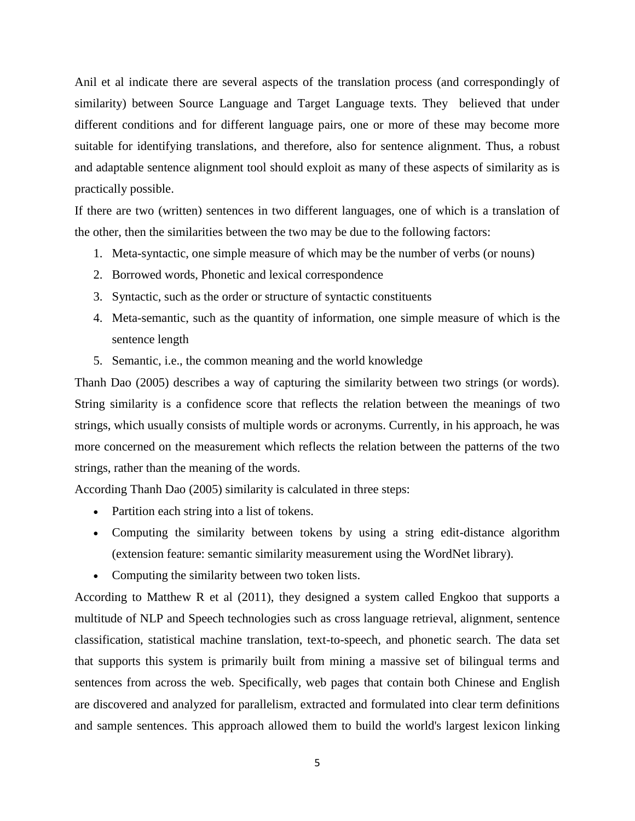Anil et al indicate there are several aspects of the translation process (and correspondingly of similarity) between Source Language and Target Language texts. They believed that under different conditions and for different language pairs, one or more of these may become more suitable for identifying translations, and therefore, also for sentence alignment. Thus, a robust and adaptable sentence alignment tool should exploit as many of these aspects of similarity as is practically possible.

If there are two (written) sentences in two different languages, one of which is a translation of the other, then the similarities between the two may be due to the following factors:

- 1. Meta-syntactic, one simple measure of which may be the number of verbs (or nouns)
- 2. Borrowed words, Phonetic and lexical correspondence
- 3. Syntactic, such as the order or structure of syntactic constituents
- 4. Meta-semantic, such as the quantity of information, one simple measure of which is the sentence length
- 5. Semantic, i.e., the common meaning and the world knowledge

Thanh Dao (2005) describes a way of capturing the similarity between two strings (or words). String similarity is a confidence score that reflects the relation between the meanings of two strings, which usually consists of multiple words or acronyms. Currently, in his approach, he was more concerned on the measurement which reflects the relation between the patterns of the two strings, rather than the meaning of the words.

According Thanh Dao (2005) similarity is calculated in three steps:

- Partition each string into a list of tokens.
- Computing the similarity between tokens by using a string edit-distance algorithm (extension feature: semantic similarity measurement using the WordNet library).
- Computing the similarity between two token lists.

According to Matthew R et al (2011), they designed a system called Engkoo that supports a multitude of NLP and Speech technologies such as cross language retrieval, alignment, sentence classification, statistical machine translation, text-to-speech, and phonetic search. The data set that supports this system is primarily built from mining a massive set of bilingual terms and sentences from across the web. Specifically, web pages that contain both Chinese and English are discovered and analyzed for parallelism, extracted and formulated into clear term definitions and sample sentences. This approach allowed them to build the world's largest lexicon linking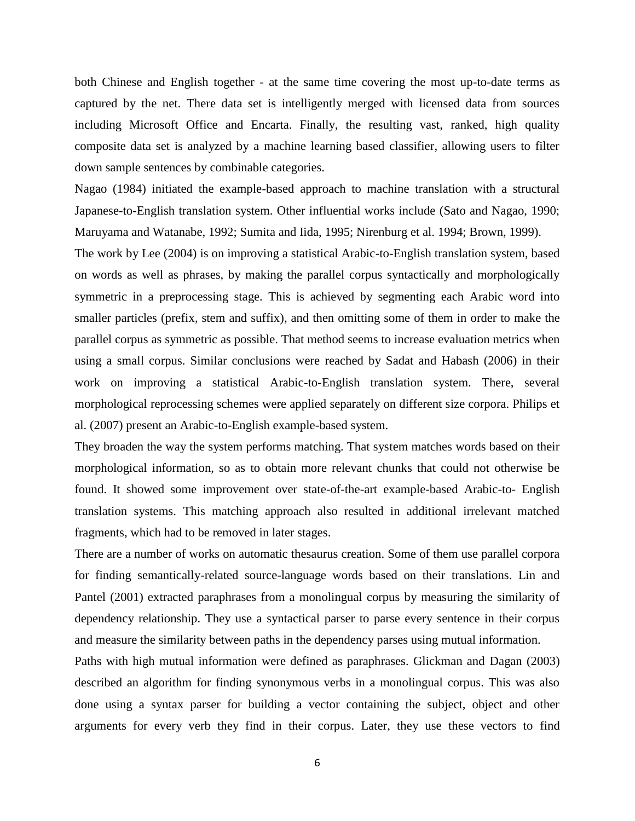both Chinese and English together - at the same time covering the most up-to-date terms as captured by the net. There data set is intelligently merged with licensed data from sources including Microsoft Office and Encarta. Finally, the resulting vast, ranked, high quality composite data set is analyzed by a machine learning based classifier, allowing users to filter down sample sentences by combinable categories.

Nagao (1984) initiated the example-based approach to machine translation with a structural Japanese-to-English translation system. Other influential works include (Sato and Nagao, 1990; Maruyama and Watanabe, 1992; Sumita and Iida, 1995; Nirenburg et al. 1994; Brown, 1999).

The work by Lee (2004) is on improving a statistical Arabic-to-English translation system, based on words as well as phrases, by making the parallel corpus syntactically and morphologically symmetric in a preprocessing stage. This is achieved by segmenting each Arabic word into smaller particles (prefix, stem and suffix), and then omitting some of them in order to make the parallel corpus as symmetric as possible. That method seems to increase evaluation metrics when using a small corpus. Similar conclusions were reached by Sadat and Habash (2006) in their work on improving a statistical Arabic-to-English translation system. There, several morphological reprocessing schemes were applied separately on different size corpora. Philips et al. (2007) present an Arabic-to-English example-based system.

They broaden the way the system performs matching. That system matches words based on their morphological information, so as to obtain more relevant chunks that could not otherwise be found. It showed some improvement over state-of-the-art example-based Arabic-to- English translation systems. This matching approach also resulted in additional irrelevant matched fragments, which had to be removed in later stages.

There are a number of works on automatic thesaurus creation. Some of them use parallel corpora for finding semantically-related source-language words based on their translations. Lin and Pantel (2001) extracted paraphrases from a monolingual corpus by measuring the similarity of dependency relationship. They use a syntactical parser to parse every sentence in their corpus and measure the similarity between paths in the dependency parses using mutual information.

Paths with high mutual information were defined as paraphrases. Glickman and Dagan (2003) described an algorithm for finding synonymous verbs in a monolingual corpus. This was also done using a syntax parser for building a vector containing the subject, object and other arguments for every verb they find in their corpus. Later, they use these vectors to find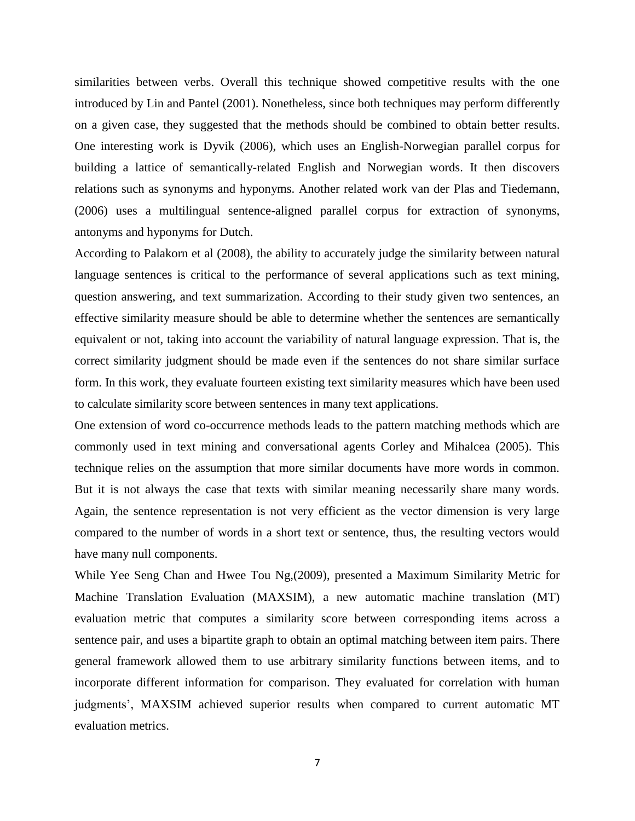similarities between verbs. Overall this technique showed competitive results with the one introduced by Lin and Pantel (2001). Nonetheless, since both techniques may perform differently on a given case, they suggested that the methods should be combined to obtain better results. One interesting work is Dyvik (2006), which uses an English-Norwegian parallel corpus for building a lattice of semantically-related English and Norwegian words. It then discovers relations such as synonyms and hyponyms. Another related work van der Plas and Tiedemann, (2006) uses a multilingual sentence-aligned parallel corpus for extraction of synonyms, antonyms and hyponyms for Dutch.

According to Palakorn et al (2008), the ability to accurately judge the similarity between natural language sentences is critical to the performance of several applications such as text mining, question answering, and text summarization. According to their study given two sentences, an effective similarity measure should be able to determine whether the sentences are semantically equivalent or not, taking into account the variability of natural language expression. That is, the correct similarity judgment should be made even if the sentences do not share similar surface form. In this work, they evaluate fourteen existing text similarity measures which have been used to calculate similarity score between sentences in many text applications.

One extension of word co-occurrence methods leads to the pattern matching methods which are commonly used in text mining and conversational agents Corley and Mihalcea (2005). This technique relies on the assumption that more similar documents have more words in common. But it is not always the case that texts with similar meaning necessarily share many words. Again, the sentence representation is not very efficient as the vector dimension is very large compared to the number of words in a short text or sentence, thus, the resulting vectors would have many null components.

While Yee Seng Chan and Hwee Tou Ng,(2009), presented a Maximum Similarity Metric for Machine Translation Evaluation (MAXSIM), a new automatic machine translation (MT) evaluation metric that computes a similarity score between corresponding items across a sentence pair, and uses a bipartite graph to obtain an optimal matching between item pairs. There general framework allowed them to use arbitrary similarity functions between items, and to incorporate different information for comparison. They evaluated for correlation with human judgments', MAXSIM achieved superior results when compared to current automatic MT evaluation metrics.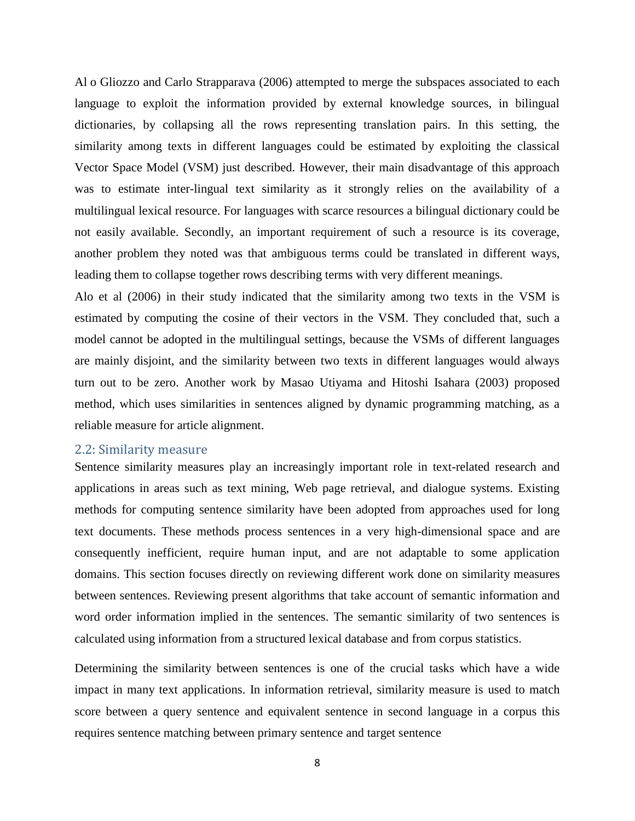Al o Gliozzo and Carlo Strapparava (2006) attempted to merge the subspaces associated to each language to exploit the information provided by external knowledge sources, in bilingual dictionaries, by collapsing all the rows representing translation pairs. In this setting, the similarity among texts in different languages could be estimated by exploiting the classical Vector Space Model (VSM) just described. However, their main disadvantage of this approach was to estimate inter-lingual text similarity as it strongly relies on the availability of a multilingual lexical resource. For languages with scarce resources a bilingual dictionary could be not easily available. Secondly, an important requirement of such a resource is its coverage, another problem they noted was that ambiguous terms could be translated in different ways, leading them to collapse together rows describing terms with very different meanings.

Alo et al (2006) in their study indicated that the similarity among two texts in the VSM is estimated by computing the cosine of their vectors in the VSM. They concluded that, such a model cannot be adopted in the multilingual settings, because the VSMs of different languages are mainly disjoint, and the similarity between two texts in different languages would always turn out to be zero. Another work by Masao Utiyama and Hitoshi Isahara (2003) proposed method, which uses similarities in sentences aligned by dynamic programming matching, as a reliable measure for article alignment.

#### 2.2: Similarity measure

Sentence similarity measures play an increasingly important role in text-related research and applications in areas such as text mining, Web page retrieval, and dialogue systems. Existing methods for computing sentence similarity have been adopted from approaches used for long text documents. These methods process sentences in a very high-dimensional space and are consequently inefficient, require human input, and are not adaptable to some application domains. This section focuses directly on reviewing different work done on similarity measures between sentences. Reviewing present algorithms that take account of semantic information and word order information implied in the sentences. The semantic similarity of two sentences is calculated using information from a structured lexical database and from corpus statistics.

Determining the similarity between sentences is one of the crucial tasks which have a wide impact in many text applications. In information retrieval, similarity measure is used to match score between a query sentence and equivalent sentence in second language in a corpus this requires sentence matching between primary sentence and target sentence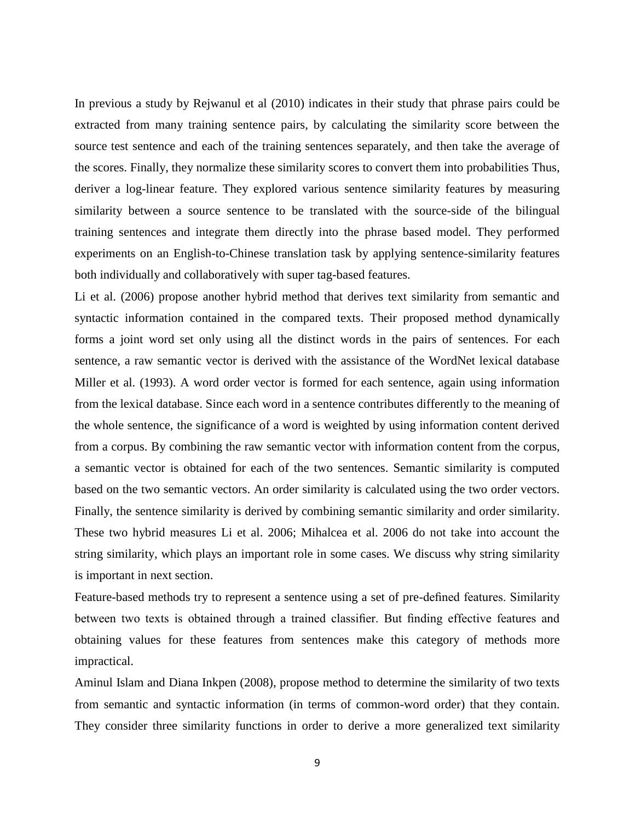In previous a study by Rejwanul et al (2010) indicates in their study that phrase pairs could be extracted from many training sentence pairs, by calculating the similarity score between the source test sentence and each of the training sentences separately, and then take the average of the scores. Finally, they normalize these similarity scores to convert them into probabilities Thus, deriver a log-linear feature. They explored various sentence similarity features by measuring similarity between a source sentence to be translated with the source-side of the bilingual training sentences and integrate them directly into the phrase based model. They performed experiments on an English-to-Chinese translation task by applying sentence-similarity features both individually and collaboratively with super tag-based features.

Li et al. (2006) propose another hybrid method that derives text similarity from semantic and syntactic information contained in the compared texts. Their proposed method dynamically forms a joint word set only using all the distinct words in the pairs of sentences. For each sentence, a raw semantic vector is derived with the assistance of the WordNet lexical database Miller et al. (1993). A word order vector is formed for each sentence, again using information from the lexical database. Since each word in a sentence contributes differently to the meaning of the whole sentence, the significance of a word is weighted by using information content derived from a corpus. By combining the raw semantic vector with information content from the corpus, a semantic vector is obtained for each of the two sentences. Semantic similarity is computed based on the two semantic vectors. An order similarity is calculated using the two order vectors. Finally, the sentence similarity is derived by combining semantic similarity and order similarity. These two hybrid measures Li et al. 2006; Mihalcea et al. 2006 do not take into account the string similarity, which plays an important role in some cases. We discuss why string similarity is important in next section.

Feature-based methods try to represent a sentence using a set of pre-defined features. Similarity between two texts is obtained through a trained classifier. But finding effective features and obtaining values for these features from sentences make this category of methods more impractical.

Aminul Islam and Diana Inkpen (2008), propose method to determine the similarity of two texts from semantic and syntactic information (in terms of common-word order) that they contain. They consider three similarity functions in order to derive a more generalized text similarity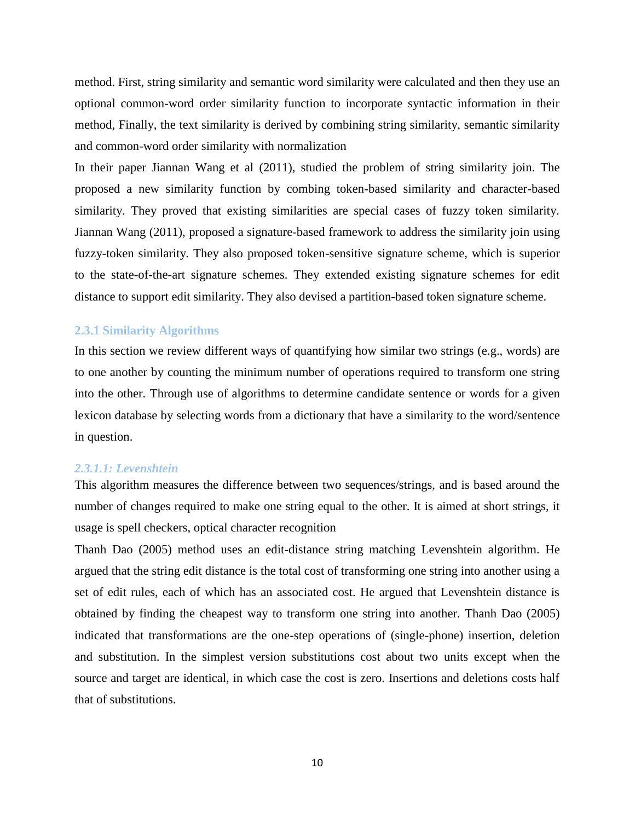method. First, string similarity and semantic word similarity were calculated and then they use an optional common-word order similarity function to incorporate syntactic information in their method, Finally, the text similarity is derived by combining string similarity, semantic similarity and common-word order similarity with normalization

In their paper Jiannan Wang et al (2011), studied the problem of string similarity join. The proposed a new similarity function by combing token-based similarity and character-based similarity. They proved that existing similarities are special cases of fuzzy token similarity. Jiannan Wang (2011), proposed a signature-based framework to address the similarity join using fuzzy-token similarity. They also proposed token-sensitive signature scheme, which is superior to the state-of-the-art signature schemes. They extended existing signature schemes for edit distance to support edit similarity. They also devised a partition-based token signature scheme.

#### **2.3.1 Similarity Algorithms**

In this section we review different ways of quantifying how similar two strings (e.g., words) are to one another by counting the minimum number of operations required to transform one string into the other. Through use of algorithms to determine candidate sentence or words for a given lexicon database by selecting words from a dictionary that have a similarity to the word/sentence in question.

#### *2.3.1.1: Levenshtein*

This algorithm measures the difference between two sequences/strings, and is based around the number of changes required to make one string equal to the other. It is aimed at short strings, it usage is spell checkers, optical character recognition

Thanh Dao (2005) method uses an edit-distance string matching Levenshtein algorithm. He argued that the string edit distance is the total cost of transforming one string into another using a set of edit rules, each of which has an associated cost. He argued that Levenshtein distance is obtained by finding the cheapest way to transform one string into another. Thanh Dao (2005) indicated that transformations are the one-step operations of (single-phone) insertion, deletion and substitution. In the simplest version substitutions cost about two units except when the source and target are identical, in which case the cost is zero. Insertions and deletions costs half that of substitutions.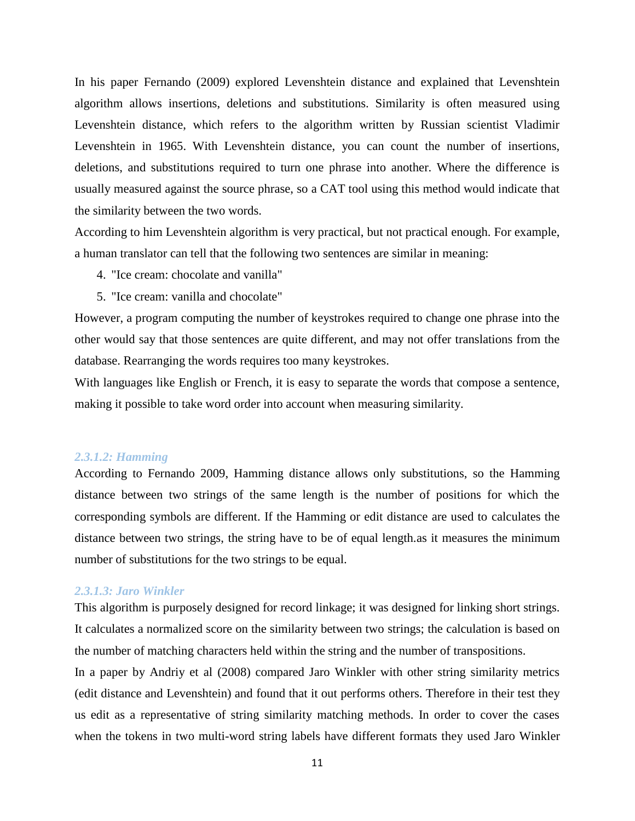In his paper Fernando (2009) explored Levenshtein distance and explained that Levenshtein algorithm allows insertions, deletions and substitutions. Similarity is often measured using Levenshtein distance, which refers to the algorithm written by Russian scientist Vladimir Levenshtein in 1965. With Levenshtein distance, you can count the number of insertions, deletions, and substitutions required to turn one phrase into another. Where the difference is usually measured against the source phrase, so a CAT tool using this method would indicate that the similarity between the two words.

According to him Levenshtein algorithm is very practical, but not practical enough. For example, a human translator can tell that the following two sentences are similar in meaning:

- 4. "Ice cream: chocolate and vanilla"
- 5. "Ice cream: vanilla and chocolate"

However, a program computing the number of keystrokes required to change one phrase into the other would say that those sentences are quite different, and may not offer translations from the database. Rearranging the words requires too many keystrokes.

With languages like English or French, it is easy to separate the words that compose a sentence, making it possible to take word order into account when measuring similarity.

#### *2.3.1.2: Hamming*

According to Fernando 2009, Hamming distance allows only substitutions, so the Hamming distance between two strings of the same length is the number of positions for which the corresponding symbols are different. If the Hamming or edit distance are used to calculates the distance between two strings, the string have to be of equal length.as it measures the minimum number of substitutions for the two strings to be equal.

#### *2.3.1.3: Jaro Winkler*

This algorithm is purposely designed for record linkage; it was designed for linking short strings. It calculates a normalized score on the similarity between two strings; the calculation is based on the number of matching characters held within the string and the number of transpositions.

In a paper by Andriy et al (2008) compared Jaro Winkler with other string similarity metrics (edit distance and Levenshtein) and found that it out performs others. Therefore in their test they us edit as a representative of string similarity matching methods. In order to cover the cases when the tokens in two multi-word string labels have different formats they used Jaro Winkler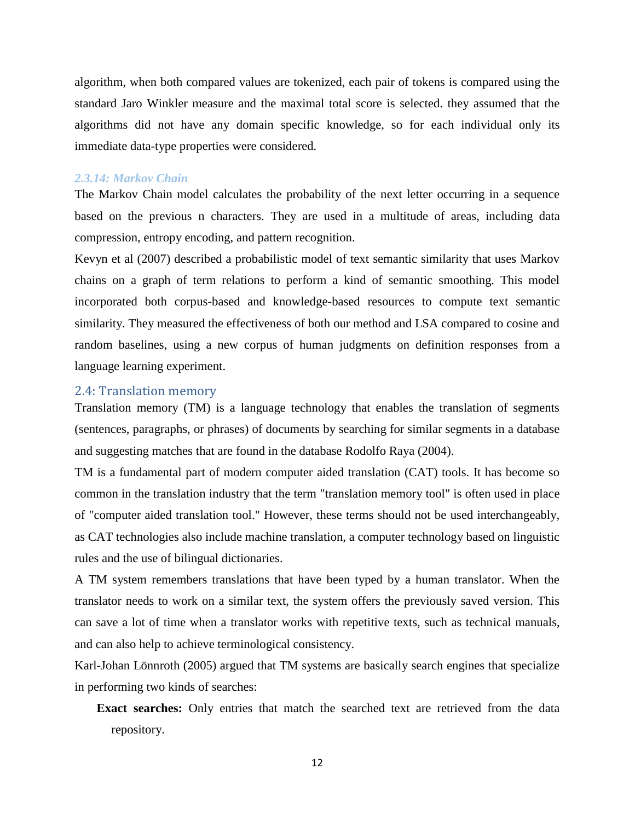algorithm, when both compared values are tokenized, each pair of tokens is compared using the standard Jaro Winkler measure and the maximal total score is selected. they assumed that the algorithms did not have any domain specific knowledge, so for each individual only its immediate data-type properties were considered.

#### *2.3.14: Markov Chain*

The Markov Chain model calculates the probability of the next letter occurring in a sequence based on the previous n characters. They are used in a multitude of areas, including data compression, entropy encoding, and pattern recognition.

Kevyn et al (2007) described a probabilistic model of text semantic similarity that uses Markov chains on a graph of term relations to perform a kind of semantic smoothing. This model incorporated both corpus-based and knowledge-based resources to compute text semantic similarity. They measured the effectiveness of both our method and LSA compared to cosine and random baselines, using a new corpus of human judgments on definition responses from a language learning experiment.

#### 2.4: Translation memory

Translation memory (TM) is a language technology that enables the translation of segments (sentences, paragraphs, or phrases) of documents by searching for similar segments in a database and suggesting matches that are found in the database Rodolfo Raya (2004).

TM is a fundamental part of modern computer aided translation (CAT) tools. It has become so common in the translation industry that the term "translation memory tool" is often used in place of "computer aided translation tool." However, these terms should not be used interchangeably, as CAT technologies also include machine translation, a computer technology based on linguistic rules and the use of bilingual dictionaries.

A TM system remembers translations that have been typed by a human translator. When the translator needs to work on a similar text, the system offers the previously saved version. This can save a lot of time when a translator works with repetitive texts, such as technical manuals, and can also help to achieve terminological consistency.

Karl-Johan Lönnroth (2005) argued that TM systems are basically search engines that specialize in performing two kinds of searches:

**Exact searches:** Only entries that match the searched text are retrieved from the data repository.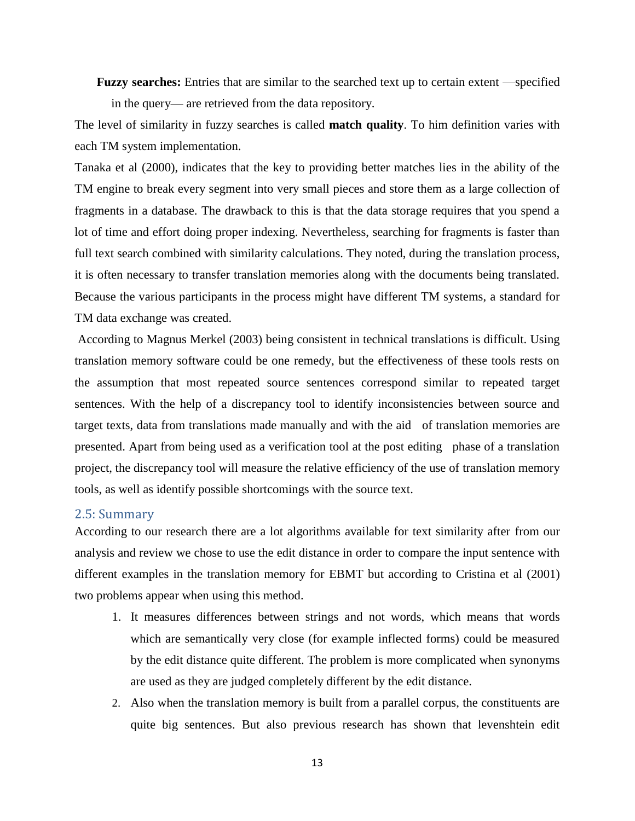**Fuzzy searches:** Entries that are similar to the searched text up to certain extent —specified in the query— are retrieved from the data repository.

The level of similarity in fuzzy searches is called **match quality**. To him definition varies with each TM system implementation.

Tanaka et al (2000), indicates that the key to providing better matches lies in the ability of the TM engine to break every segment into very small pieces and store them as a large collection of fragments in a database. The drawback to this is that the data storage requires that you spend a lot of time and effort doing proper indexing. Nevertheless, searching for fragments is faster than full text search combined with similarity calculations. They noted, during the translation process, it is often necessary to transfer translation memories along with the documents being translated. Because the various participants in the process might have different TM systems, a standard for TM data exchange was created.

According to Magnus Merkel (2003) being consistent in technical translations is difficult. Using translation memory software could be one remedy, but the effectiveness of these tools rests on the assumption that most repeated source sentences correspond similar to repeated target sentences. With the help of a discrepancy tool to identify inconsistencies between source and target texts, data from translations made manually and with the aid of translation memories are presented. Apart from being used as a verification tool at the post editing phase of a translation project, the discrepancy tool will measure the relative efficiency of the use of translation memory tools, as well as identify possible shortcomings with the source text.

#### 2.5: Summary

According to our research there are a lot algorithms available for text similarity after from our analysis and review we chose to use the edit distance in order to compare the input sentence with different examples in the translation memory for EBMT but according to Cristina et al (2001) two problems appear when using this method.

- 1. It measures differences between strings and not words, which means that words which are semantically very close (for example inflected forms) could be measured by the edit distance quite different. The problem is more complicated when synonyms are used as they are judged completely different by the edit distance.
- 2. Also when the translation memory is built from a parallel corpus, the constituents are quite big sentences. But also previous research has shown that levenshtein edit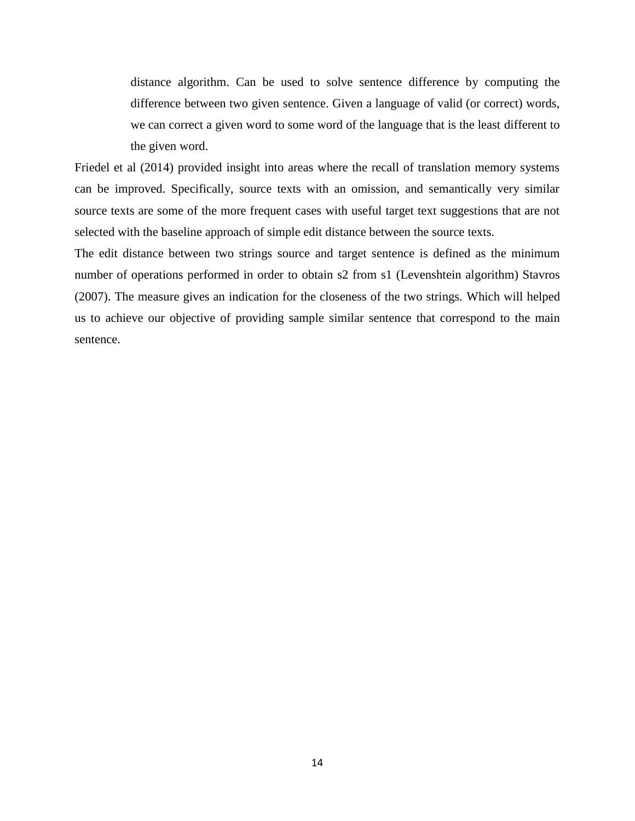distance algorithm. Can be used to solve sentence difference by computing the difference between two given sentence. Given a language of valid (or correct) words, we can correct a given word to some word of the language that is the least different to the given word.

Friedel et al (2014) provided insight into areas where the recall of translation memory systems can be improved. Specifically, source texts with an omission, and semantically very similar source texts are some of the more frequent cases with useful target text suggestions that are not selected with the baseline approach of simple edit distance between the source texts.

The edit distance between two strings source and target sentence is defined as the minimum number of operations performed in order to obtain s2 from s1 (Levenshtein algorithm) Stavros (2007). The measure gives an indication for the closeness of the two strings. Which will helped us to achieve our objective of providing sample similar sentence that correspond to the main sentence.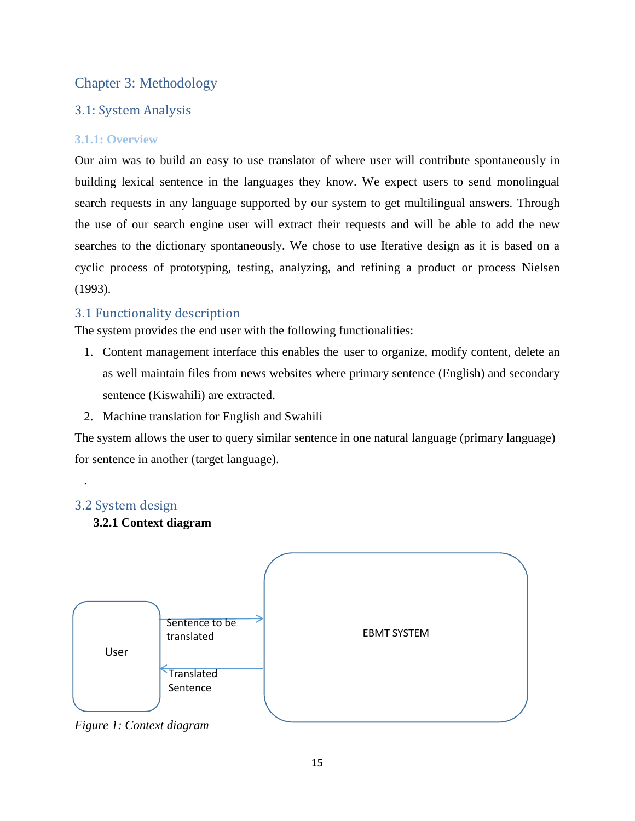### Chapter 3: Methodology

### 3.1: System Analysis

### **3.1.1: Overview**

Our aim was to build an easy to use translator of where user will contribute spontaneously in building lexical sentence in the languages they know. We expect users to send monolingual search requests in any language supported by our system to get multilingual answers. Through the use of our search engine user will extract their requests and will be able to add the new searches to the dictionary spontaneously. We chose to use Iterative design as it is based on a cyclic process of prototyping, testing, analyzing, and refining a product or process Nielsen (1993).

### 3.1 Functionality description

The system provides the end user with the following functionalities:

- 1. Content management interface this enables the user to organize, modify content, delete an as well maintain files from news websites where primary sentence (English) and secondary sentence (Kiswahili) are extracted.
- 2. Machine translation for English and Swahili

The system allows the user to query similar sentence in one natural language (primary language) for sentence in another (target language).

### 3.2 System design

.

**3.2.1 Context diagram**



*Figure 1: Context diagram*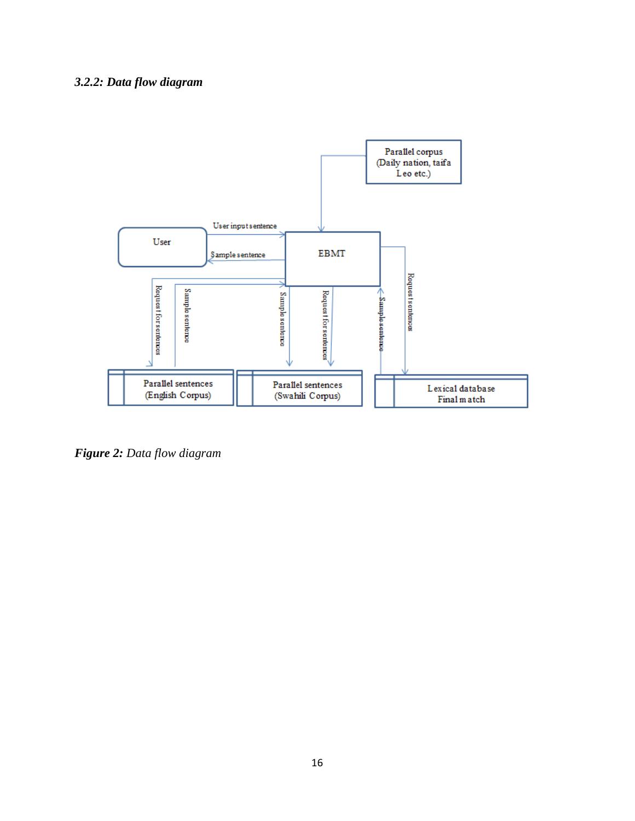### *3.2.2: Data flow diagram*



*Figure 2: Data flow diagram*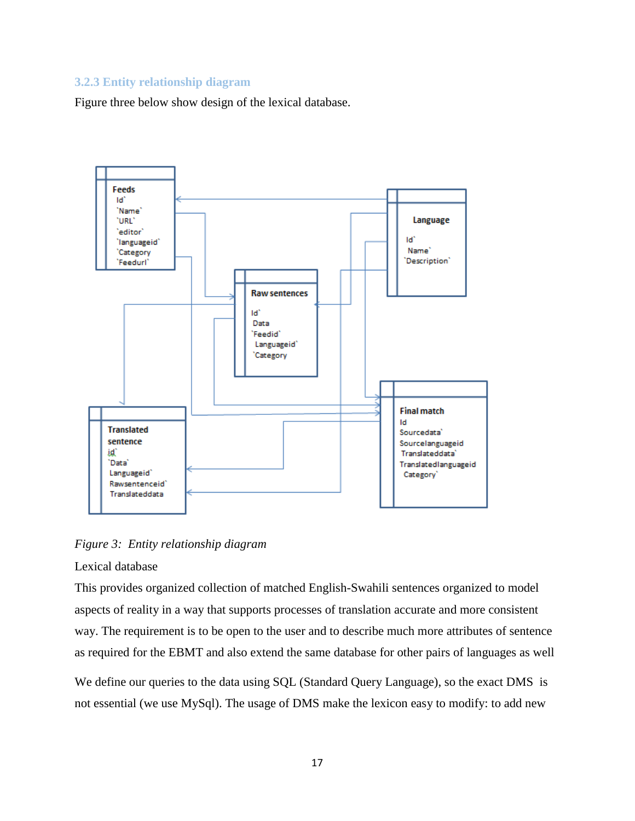### **3.2.3 Entity relationship diagram**

Figure three below show design of the lexical database.



*Figure 3: Entity relationship diagram* 

#### Lexical database

This provides organized collection of matched English-Swahili sentences organized to model aspects of reality in a way that supports processes of translation accurate and more consistent way. The requirement is to be open to the user and to describe much more attributes of sentence as required for the EBMT and also extend the same database for other pairs of languages as well

We define our queries to the data using SQL (Standard Query Language), so the exact DMS is not essential (we use MySql). The usage of DMS make the lexicon easy to modify: to add new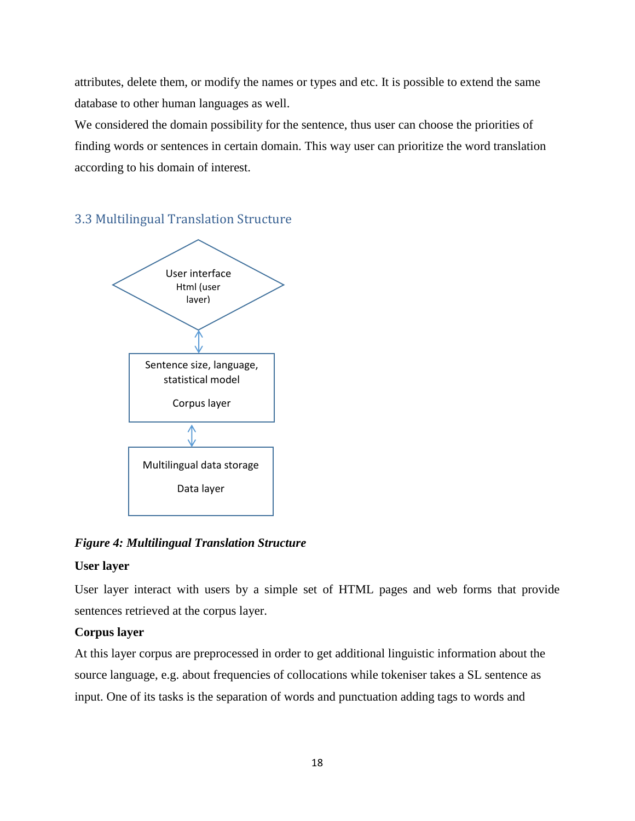attributes, delete them, or modify the names or types and etc. It is possible to extend the same database to other human languages as well.

We considered the domain possibility for the sentence, thus user can choose the priorities of finding words or sentences in certain domain. This way user can prioritize the word translation according to his domain of interest.

### 3.3 Multilingual Translation Structure



*Figure 4: Multilingual Translation Structure*

### **User layer**

User layer interact with users by a simple set of HTML pages and web forms that provide sentences retrieved at the corpus layer.

### **Corpus layer**

At this layer corpus are preprocessed in order to get additional linguistic information about the source language, e.g. about frequencies of collocations while tokeniser takes a SL sentence as input. One of its tasks is the separation of words and punctuation adding tags to words and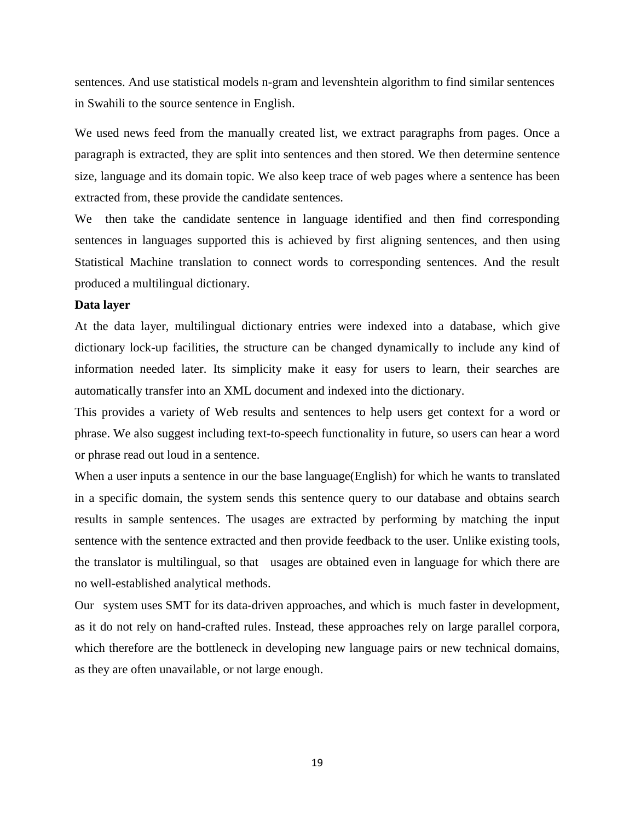sentences. And use statistical models n-gram and levenshtein algorithm to find similar sentences in Swahili to the source sentence in English.

We used news feed from the manually created list, we extract paragraphs from pages. Once a paragraph is extracted, they are split into sentences and then stored. We then determine sentence size, language and its domain topic. We also keep trace of web pages where a sentence has been extracted from, these provide the candidate sentences.

We then take the candidate sentence in language identified and then find corresponding sentences in languages supported this is achieved by first aligning sentences, and then using Statistical Machine translation to connect words to corresponding sentences. And the result produced a multilingual dictionary.

#### **Data layer**

At the data layer, multilingual dictionary entries were indexed into a database, which give dictionary lock-up facilities, the structure can be changed dynamically to include any kind of information needed later. Its simplicity make it easy for users to learn, their searches are automatically transfer into an XML document and indexed into the dictionary.

This provides a variety of Web results and sentences to help users get context for a word or phrase. We also suggest including text-to-speech functionality in future, so users can hear a word or phrase read out loud in a sentence.

When a user inputs a sentence in our the base language(English) for which he wants to translated in a specific domain, the system sends this sentence query to our database and obtains search results in sample sentences. The usages are extracted by performing by matching the input sentence with the sentence extracted and then provide feedback to the user. Unlike existing tools, the translator is multilingual, so that usages are obtained even in language for which there are no well-established analytical methods.

Our system uses SMT for its data-driven approaches, and which is much faster in development, as it do not rely on hand-crafted rules. Instead, these approaches rely on large parallel corpora, which therefore are the bottleneck in developing new language pairs or new technical domains, as they are often unavailable, or not large enough.

19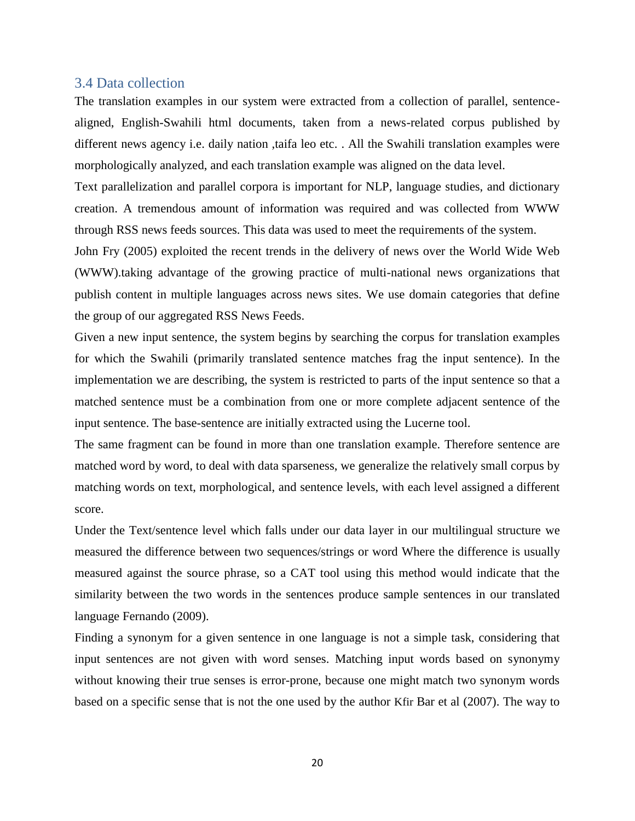#### 3.4 Data collection

The translation examples in our system were extracted from a collection of parallel, sentencealigned, English-Swahili html documents, taken from a news-related corpus published by different news agency i.e. daily nation ,taifa leo etc. . All the Swahili translation examples were morphologically analyzed, and each translation example was aligned on the data level.

Text parallelization and parallel corpora is important for NLP, language studies, and dictionary creation. A tremendous amount of information was required and was collected from WWW through RSS news feeds sources. This data was used to meet the requirements of the system.

John Fry (2005) exploited the recent trends in the delivery of news over the World Wide Web (WWW).taking advantage of the growing practice of multi-national news organizations that publish content in multiple languages across news sites. We use domain categories that define the group of our aggregated RSS News Feeds.

Given a new input sentence, the system begins by searching the corpus for translation examples for which the Swahili (primarily translated sentence matches frag the input sentence). In the implementation we are describing, the system is restricted to parts of the input sentence so that a matched sentence must be a combination from one or more complete adjacent sentence of the input sentence. The base-sentence are initially extracted using the Lucerne tool.

The same fragment can be found in more than one translation example. Therefore sentence are matched word by word, to deal with data sparseness, we generalize the relatively small corpus by matching words on text, morphological, and sentence levels, with each level assigned a different score.

Under the Text/sentence level which falls under our data layer in our multilingual structure we measured the difference between two sequences/strings or word Where the difference is usually measured against the source phrase, so a CAT tool using this method would indicate that the similarity between the two words in the sentences produce sample sentences in our translated language Fernando (2009).

Finding a synonym for a given sentence in one language is not a simple task, considering that input sentences are not given with word senses. Matching input words based on synonymy without knowing their true senses is error-prone, because one might match two synonym words based on a specific sense that is not the one used by the author Kfir Bar et al (2007). The way to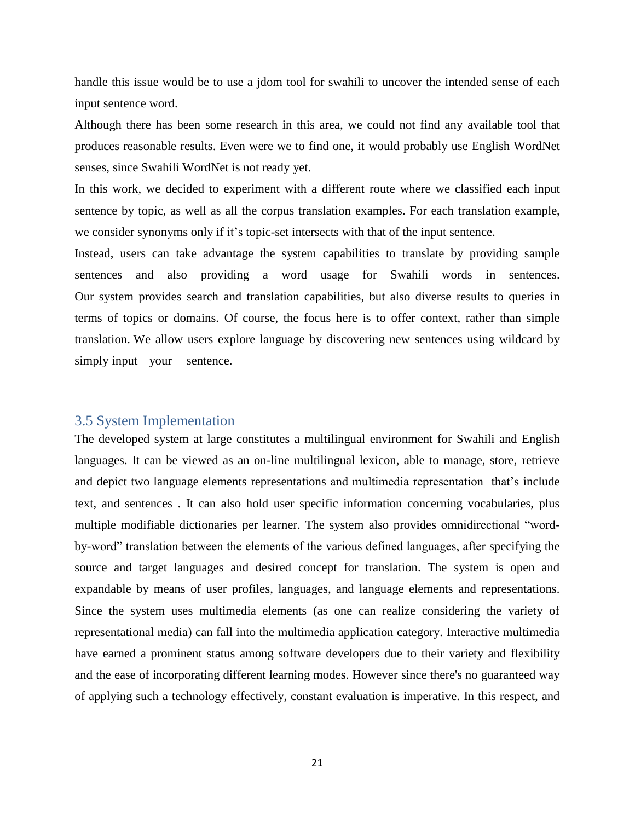handle this issue would be to use a jdom tool for swahili to uncover the intended sense of each input sentence word.

Although there has been some research in this area, we could not find any available tool that produces reasonable results. Even were we to find one, it would probably use English WordNet senses, since Swahili WordNet is not ready yet.

In this work, we decided to experiment with a different route where we classified each input sentence by topic, as well as all the corpus translation examples. For each translation example, we consider synonyms only if it's topic-set intersects with that of the input sentence.

Instead, users can take advantage the system capabilities to translate by providing sample sentences and also providing a word usage for Swahili words in sentences. Our system provides search and translation capabilities, but also diverse results to queries in terms of topics or domains. Of course, the focus here is to offer context, rather than simple translation. We allow users explore language by discovering new sentences using wildcard by simply input your sentence.

#### 3.5 System Implementation

The developed system at large constitutes a multilingual environment for Swahili and English languages. It can be viewed as an on-line multilingual lexicon, able to manage, store, retrieve and depict two language elements representations and multimedia representation that's include text, and sentences . It can also hold user specific information concerning vocabularies, plus multiple modifiable dictionaries per learner. The system also provides omnidirectional "wordby-word" translation between the elements of the various defined languages, after specifying the source and target languages and desired concept for translation. The system is open and expandable by means of user profiles, languages, and language elements and representations. Since the system uses multimedia elements (as one can realize considering the variety of representational media) can fall into the multimedia application category. Interactive multimedia have earned a prominent status among software developers due to their variety and flexibility and the ease of incorporating different learning modes. However since there's no guaranteed way of applying such a technology effectively, constant evaluation is imperative. In this respect, and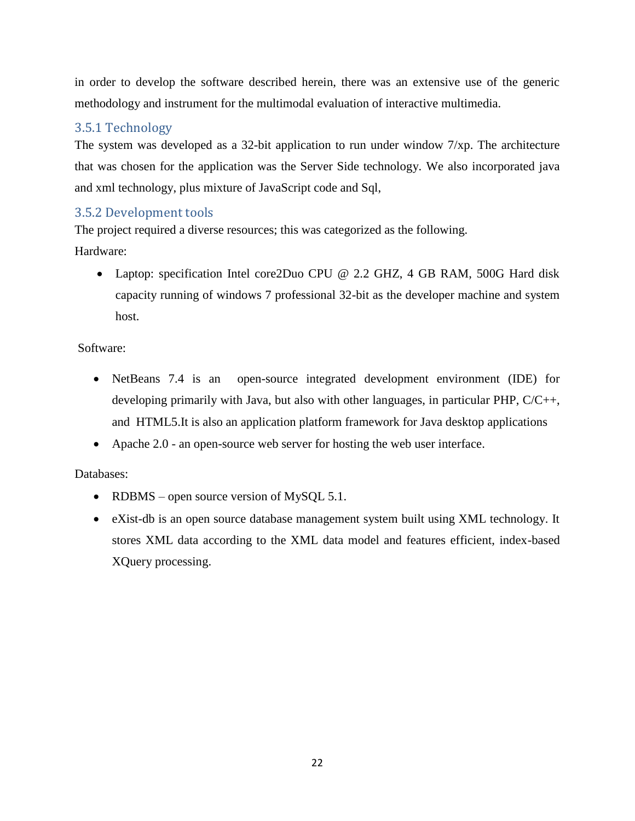in order to develop the software described herein, there was an extensive use of the generic methodology and instrument for the multimodal evaluation of interactive multimedia.

# 3.5.1 Technology

The system was developed as a 32-bit application to run under window 7/xp. The architecture that was chosen for the application was the Server Side technology. We also incorporated java and xml technology, plus mixture of JavaScript code and Sql,

### 3.5.2 Development tools

The project required a diverse resources; this was categorized as the following. Hardware:

 Laptop: specification Intel core2Duo CPU @ 2.2 GHZ, 4 GB RAM, 500G Hard disk capacity running of windows 7 professional 32-bit as the developer machine and system host.

### Software:

- NetBeans 7.4 is an open-source integrated development environment (IDE) for developing primarily with Java, but also with other languages, in particular PHP, C/C++, and HTML5.It is also an application platform framework for Java desktop applications
- Apache 2.0 an open-source web server for hosting the web user interface.

### Databases:

- RDBMS open source version of MySQL  $5.1$ .
- eXist-db is an open source database management system built using XML technology. It stores XML data according to the XML data model and features efficient, index-based XQuery processing.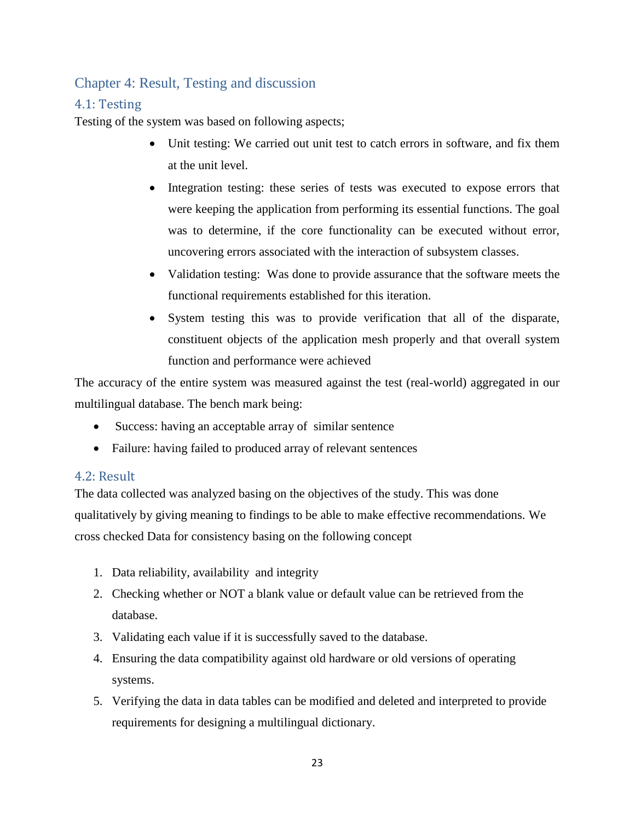# Chapter 4: Result, Testing and discussion

### 4.1: Testing

Testing of the system was based on following aspects;

- Unit testing: We carried out unit test to catch errors in software, and fix them at the unit level.
- Integration testing: these series of tests was executed to expose errors that were keeping the application from performing its essential functions. The goal was to determine, if the core functionality can be executed without error, uncovering errors associated with the interaction of subsystem classes.
- Validation testing: Was done to provide assurance that the software meets the functional requirements established for this iteration.
- System testing this was to provide verification that all of the disparate, constituent objects of the application mesh properly and that overall system function and performance were achieved

The accuracy of the entire system was measured against the test (real-world) aggregated in our multilingual database. The bench mark being:

- Success: having an acceptable array of similar sentence
- Failure: having failed to produced array of relevant sentences

### 4.2: Result

The data collected was analyzed basing on the objectives of the study. This was done qualitatively by giving meaning to findings to be able to make effective recommendations. We cross checked Data for consistency basing on the following concept

- 1. Data reliability, availability and integrity
- 2. Checking whether or NOT a blank value or default value can be retrieved from the database.
- 3. Validating each value if it is successfully saved to the database.
- 4. Ensuring the data compatibility against old hardware or old versions of operating systems.
- 5. Verifying the data in data tables can be modified and deleted and interpreted to provide requirements for designing a multilingual dictionary.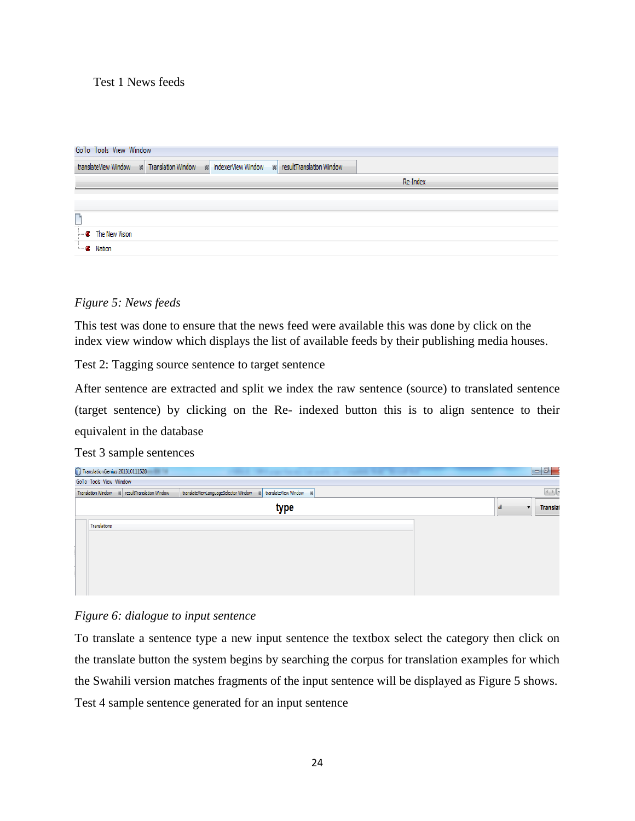### Test 1 News feeds

| GoTo Tools View Window        |  |                                                                                              |  |  |          |  |
|-------------------------------|--|----------------------------------------------------------------------------------------------|--|--|----------|--|
|                               |  | translateView Window 88 Translation Window 88 indexerView Window 88 resultTranslation Window |  |  |          |  |
|                               |  |                                                                                              |  |  | Re-Index |  |
|                               |  |                                                                                              |  |  |          |  |
|                               |  |                                                                                              |  |  |          |  |
| └                             |  |                                                                                              |  |  |          |  |
| $\blacksquare$ The New Vision |  |                                                                                              |  |  |          |  |
| $\blacksquare$ Nation         |  |                                                                                              |  |  |          |  |
|                               |  |                                                                                              |  |  |          |  |

### *Figure 5: News feeds*

This test was done to ensure that the news feed were available this was done by click on the index view window which displays the list of available feeds by their publishing media houses.

Test 2: Tagging source sentence to target sentence

After sentence are extracted and split we index the raw sentence (source) to translated sentence (target sentence) by clicking on the Re- indexed button this is to align sentence to their equivalent in the database

Test 3 sample sentences

| TranslationGenius 201310111528<br>. .<br>the company bear of such a company was the control                         | $-0$                  |
|---------------------------------------------------------------------------------------------------------------------|-----------------------|
| GoTo Tools View Window                                                                                              |                       |
| Translation Window 8 resultTranslation Window<br>translateViewLanguageSelector Window<br>88 translateView Window 88 |                       |
| type                                                                                                                | <b>Translat</b><br>al |
| Translations                                                                                                        |                       |
|                                                                                                                     |                       |
|                                                                                                                     |                       |
|                                                                                                                     |                       |
|                                                                                                                     |                       |

#### *Figure 6: dialogue to input sentence*

To translate a sentence type a new input sentence the textbox select the category then click on the translate button the system begins by searching the corpus for translation examples for which the Swahili version matches fragments of the input sentence will be displayed as Figure 5 shows. Test 4 sample sentence generated for an input sentence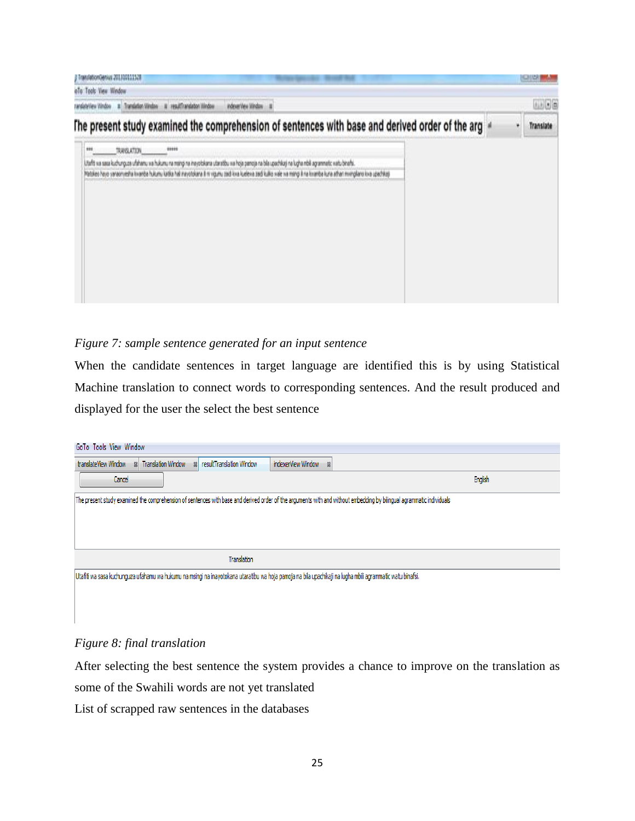| ranslationGenius 201310111528<br>oTo Tools View Window                                                                                                                                                                                                                                                                                                                                                                                                                                                                                                                                 |  |   |           |
|----------------------------------------------------------------------------------------------------------------------------------------------------------------------------------------------------------------------------------------------------------------------------------------------------------------------------------------------------------------------------------------------------------------------------------------------------------------------------------------------------------------------------------------------------------------------------------------|--|---|-----------|
| ranslateView Window B Translation Window B resultTranslation Window<br>indeverView Window #                                                                                                                                                                                                                                                                                                                                                                                                                                                                                            |  |   | 3330      |
| The present study examined the comprehension of sentences with base and derived order of the arg                                                                                                                                                                                                                                                                                                                                                                                                                                                                                       |  | ۷ | Translate |
| TRANSLATION.<br>Utafit wa sasa kuchunguza ufahamu wa hukumu na maingi na inayotokana utanatibu wa hoja pamoja na bila upachikaji na lugha mbili agrammatic watu binafsi.<br>Matakeo hayo yanaxnyesha kwanda hukumu katika hali nayotokana ili ni vigumu zaidi kwa kuelewa zaidi kulko wale wa mangi ili na kimanda kuna athan mwingkano kwa upachika)<br>a bere a resultant for the control of the control of the control of the control of the control of the control of the control of the control of the control of the control of the control of the control of the control of the |  |   |           |

### *Figure 7: sample sentence generated for an input sentence*

When the candidate sentences in target language are identified this is by using Statistical Machine translation to connect words to corresponding sentences. And the result produced and displayed for the user the select the best sentence

| GoTo Tools View Window                                                                                                                                                |         |  |  |  |  |  |  |
|-----------------------------------------------------------------------------------------------------------------------------------------------------------------------|---------|--|--|--|--|--|--|
| Translation Window<br>88 resultTranslation Window<br>translateView Window<br>indexerView Window<br>$\frac{1}{2}$<br>$\frac{8}{2}$                                     |         |  |  |  |  |  |  |
| Cancel                                                                                                                                                                | English |  |  |  |  |  |  |
| The present study examined the comprehension of sentences with base and derived order of the arguments with and without embedding by bilingual agrammatic individuals |         |  |  |  |  |  |  |
|                                                                                                                                                                       |         |  |  |  |  |  |  |
|                                                                                                                                                                       |         |  |  |  |  |  |  |
|                                                                                                                                                                       |         |  |  |  |  |  |  |
| Translation                                                                                                                                                           |         |  |  |  |  |  |  |
| Utafiti wa sasa kuchunguza ufahamu wa hukumu na msingi na inayotokana utaratibu wa hoja pamoja na bila upachikaji na lugha mbili agrammatic watu binafsi.             |         |  |  |  |  |  |  |
|                                                                                                                                                                       |         |  |  |  |  |  |  |

#### *Figure 8: final translation*

After selecting the best sentence the system provides a chance to improve on the translation as some of the Swahili words are not yet translated

List of scrapped raw sentences in the databases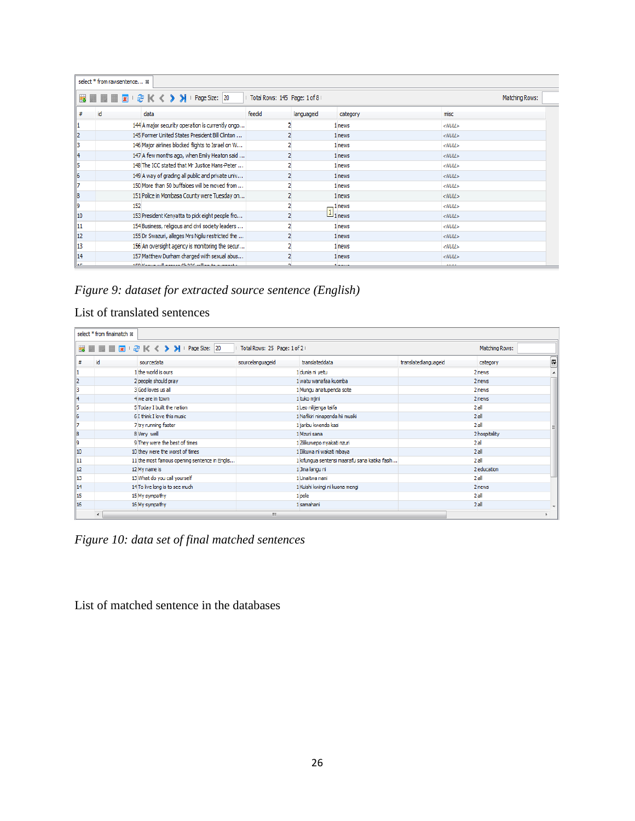|           | select * from rawsentence %                                                                                                                                                                                                    |                              |                               |                               |                 |  |  |  |  |
|-----------|--------------------------------------------------------------------------------------------------------------------------------------------------------------------------------------------------------------------------------|------------------------------|-------------------------------|-------------------------------|-----------------|--|--|--|--|
|           | <b>III</b> III <b>A</b>   a <sup>3</sup>   K 		 > 	 > 	   Page Size:   20                                                                                                                                                      | Total Rows: 145 Page: 1 of 8 |                               |                               | Matching Rows:  |  |  |  |  |
|           | id<br>data                                                                                                                                                                                                                     | feedid                       | languageid                    | category                      | misc            |  |  |  |  |
|           | 144 A major security operation is currently ongo                                                                                                                                                                               |                              |                               | 1 news                        | $<$ NULL $>$    |  |  |  |  |
| 12        | 145 Former United States President Bill Clinton                                                                                                                                                                                |                              |                               | 1 news                        | $<$ NULL $>$    |  |  |  |  |
| 13        | 146 Major airlines blocked flights to Israel on W                                                                                                                                                                              |                              |                               | 1 news                        | $<$ NULL $>$    |  |  |  |  |
| 14        | 147 A few months ago, when Emily Heaton said                                                                                                                                                                                   |                              |                               | 1 news                        | $<$ NULL $>$    |  |  |  |  |
| 15        | 148 The ICC stated that Mr Justice Hans-Peter                                                                                                                                                                                  |                              |                               | 1 news                        | $\leq$ NULL $>$ |  |  |  |  |
| 16        | 149 A way of grading all public and private univ                                                                                                                                                                               |                              |                               | 1 news                        | $\leq$ NULL $>$ |  |  |  |  |
| 17        | 150 More than 50 buffaloes will be moved from                                                                                                                                                                                  |                              |                               | 1 news                        | $&$ NULL $&$    |  |  |  |  |
| 18        | 151 Police in Mombasa County were Tuesday on                                                                                                                                                                                   |                              |                               | 1 news                        | $&$ NULL $&$    |  |  |  |  |
| 19        | 152                                                                                                                                                                                                                            |                              |                               | 1 news                        | $<$ NULL $>$    |  |  |  |  |
| 10        | 153 President Kenyatta to pick eight people fro                                                                                                                                                                                |                              | $\boxed{1}$ <sub>1</sub> news |                               | $<$ NULL $>$    |  |  |  |  |
| 11        | 154 Business, religious and civil society leaders                                                                                                                                                                              |                              |                               | 1 news                        | $<$ NULL $>$    |  |  |  |  |
| 12        | 155 Dr Swazuri, alleges Mrs Ngilu restricted the                                                                                                                                                                               |                              |                               | 1 news                        | $<$ NULL $>$    |  |  |  |  |
| 13        | 156 An oversight agency is monitoring the secur                                                                                                                                                                                |                              |                               | 1 news                        | $<$ NULL $>$    |  |  |  |  |
| 14        | 157 Matthew Durham charged with sexual abus                                                                                                                                                                                    |                              |                               | 1 news                        | $<$ NULL $>$    |  |  |  |  |
| <b>AP</b> | sing the company of the contract and the company of the second second second second second second second second second second second second second second second second second second second second second second second secon |                              |                               | <b><i><u>Language</u></i></b> | 812.02          |  |  |  |  |

*Figure 9: dataset for extracted source sentence (English)*

### List of translated sentences

|            | select * from finalmatch &                                                                                      |                  |                                               |                      |               |  |  |  |  |
|------------|-----------------------------------------------------------------------------------------------------------------|------------------|-----------------------------------------------|----------------------|---------------|--|--|--|--|
|            | <b>■■■→ そくく&gt;&gt;</b> I Page Size: 20<br>Total Rows: 25 Page: 1 of 2  <br>Matching Rows:<br><b>10 Million</b> |                  |                                               |                      |               |  |  |  |  |
| #          | id<br>sourcedata                                                                                                | sourcelanguageid | translateddata                                | translatedlanguageid | 厚<br>category |  |  |  |  |
| 11.        | 1 the world is ours                                                                                             |                  | 1 dunia ni yetu                               |                      | 2 news        |  |  |  |  |
| 2          | 2 people should pray                                                                                            |                  | 1 watu wanafaa kuomba                         |                      | 2 news        |  |  |  |  |
| 3          | 3 God loves us all                                                                                              |                  | 1 Mungu anatupenda sote                       |                      | 2 news        |  |  |  |  |
| 14         | 4 we are in town                                                                                                |                  | 1 tuko mjini                                  |                      | 2 news        |  |  |  |  |
| 15         | 5 Today I built the nation                                                                                      |                  | 1 Leo nilijenga taifa                         |                      | $2$ all       |  |  |  |  |
| 6          | 6 I think I love this music                                                                                     |                  | 1 Nafikiri ninapenda hii musiki               |                      | $2$ all       |  |  |  |  |
| 17         | 7 try running faster                                                                                            |                  | 1 jaribu kwenda kasi                          |                      | 2al           |  |  |  |  |
| 18         | 8 Very well                                                                                                     |                  | 1 Mzuri sana                                  |                      | 2 hospitality |  |  |  |  |
| 19         | 9 They were the best of times                                                                                   |                  | 1 Zilikuwepo nyakati nzuri                    |                      | 2a            |  |  |  |  |
| $\vert$ 10 | 10 they were the worst of times                                                                                 |                  | 1 Ilikuwa ni wakati mbaya                     |                      | $2$ all       |  |  |  |  |
| 11         | 11 the most famous opening sentence in Englis                                                                   |                  | 1 kifungua sentensi maarafu sana katika fasih |                      | $2$ all       |  |  |  |  |
| 12         | 12 My name is                                                                                                   |                  | 1 Jina langu ni                               |                      | 2 education   |  |  |  |  |
| 13         | 13 What do you call yourself                                                                                    |                  | 1 Unaitwa nani                                |                      | $2$ all       |  |  |  |  |
| 14         | 14 To live long is to see much                                                                                  |                  | 1 Kuishi kwingi ni kuona mengi                |                      | 2 news        |  |  |  |  |
| 15         | 15 My sympathy                                                                                                  |                  | 1 pole                                        |                      | $2$ all       |  |  |  |  |
| 16         | 16 My sympathy                                                                                                  |                  | 1 samahani                                    |                      | $2$ all       |  |  |  |  |
|            |                                                                                                                 | m.               |                                               |                      |               |  |  |  |  |

*Figure 10: data set of final matched sentences*

List of matched sentence in the databases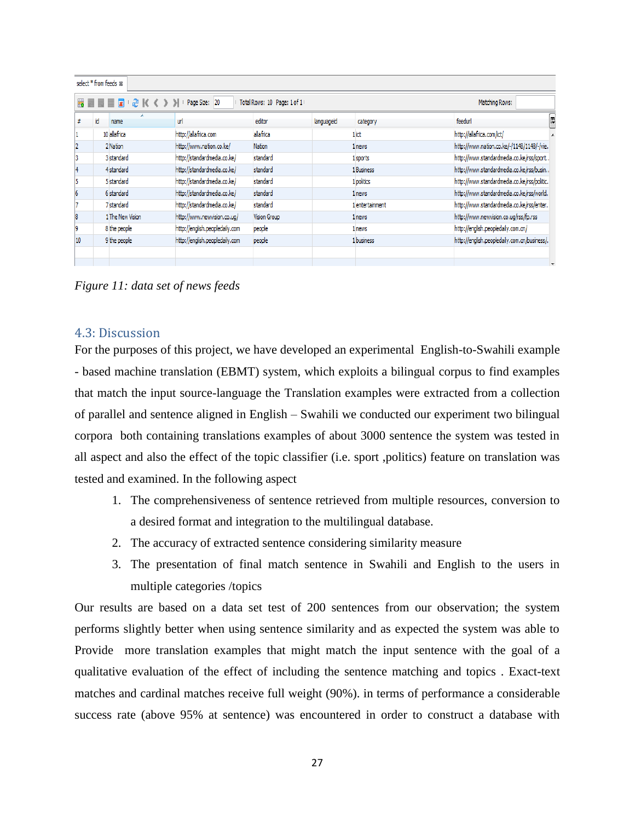|    | select * from feeds & |                  |                                |                     |            |                 |                                              |   |  |
|----|-----------------------|------------------|--------------------------------|---------------------|------------|-----------------|----------------------------------------------|---|--|
|    |                       | ₽                |                                | Matching Rows:      |            |                 |                                              |   |  |
|    | id                    | ۰<br>name        | url                            | editor              | languageid | category        | feedur                                       | Ę |  |
|    |                       | 10 allafrica     | http://allafrica.com           | allafrica           |            | 1 ict           | http://allafrica.com/ict/                    |   |  |
|    |                       | 2 Nation         | http://www.nation.co.ke/       | Nation              |            | 1 news          | http://www.nation.co.ke/-/1148/1148/-/vie.   |   |  |
| 3  |                       | 3 standard       | http://standardmedia.co.ke/    | standard            |            | 1 sports        | http://www.standardmedia.co.ke/rss/sport     |   |  |
|    |                       | 4 standard       | http://standardmedia.co.ke/    | standard            |            | 1 Business      | http://www.standardmedia.co.ke/rss/busin     |   |  |
| 5  |                       | 5 standard       | http://standardmedia.co.ke/    | standard            |            | 1 politics      | http://www.standardmedia.co.ke/rss/politic.  |   |  |
| 6  |                       | 6 standard       | http://standardmedia.co.ke/    | standard            |            | 1 news          | http://www.standardmedia.co.ke/rss/world.    |   |  |
|    |                       | 7 standard       | http://standardmedia.co.ke/    | standard            |            | 1 entertainment | http://www.standardmedia.co.ke/rss/enter     |   |  |
| 8  |                       | 1 The New Vision | http://www.newvision.co.ug/    | <b>Vision Group</b> |            | 1 news          | http://www.newvision.co.ug/rss/fp.rss        |   |  |
| 9  |                       | 8 the people     | http://english.peopledaily.com | people              |            | 1 news          | http://english.peopledaily.com.cn/           |   |  |
| 10 |                       | 9 the people     | http://english.peopledaily.com | people              |            | 1 business      | http://english.peopledaily.com.cn/business/. |   |  |
|    |                       |                  |                                |                     |            |                 |                                              |   |  |
|    |                       |                  |                                |                     |            |                 |                                              |   |  |

*Figure 11: data set of news feeds* 

#### 4.3: Discussion

For the purposes of this project, we have developed an experimental English-to-Swahili example - based machine translation (EBMT) system, which exploits a bilingual corpus to find examples that match the input source-language the Translation examples were extracted from a collection of parallel and sentence aligned in English – Swahili we conducted our experiment two bilingual corpora both containing translations examples of about 3000 sentence the system was tested in all aspect and also the effect of the topic classifier (i.e. sport ,politics) feature on translation was tested and examined. In the following aspect

- 1. The comprehensiveness of sentence retrieved from multiple resources, conversion to a desired format and integration to the multilingual database.
- 2. The accuracy of extracted sentence considering similarity measure
- 3. The presentation of final match sentence in Swahili and English to the users in multiple categories /topics

Our results are based on a data set test of 200 sentences from our observation; the system performs slightly better when using sentence similarity and as expected the system was able to Provide more translation examples that might match the input sentence with the goal of a qualitative evaluation of the effect of including the sentence matching and topics . Exact-text matches and cardinal matches receive full weight (90%). in terms of performance a considerable success rate (above 95% at sentence) was encountered in order to construct a database with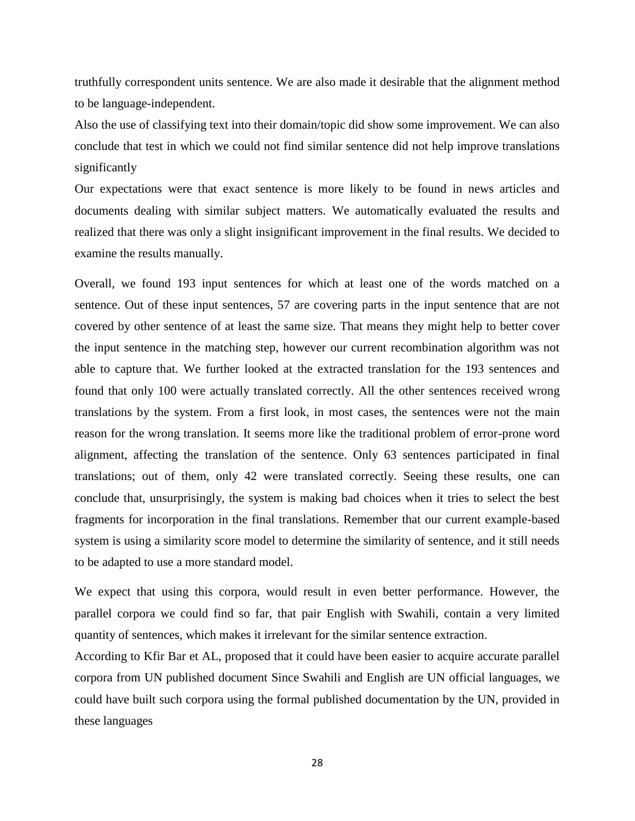truthfully correspondent units sentence. We are also made it desirable that the alignment method to be language-independent.

Also the use of classifying text into their domain/topic did show some improvement. We can also conclude that test in which we could not find similar sentence did not help improve translations significantly

Our expectations were that exact sentence is more likely to be found in news articles and documents dealing with similar subject matters. We automatically evaluated the results and realized that there was only a slight insignificant improvement in the final results. We decided to examine the results manually.

Overall, we found 193 input sentences for which at least one of the words matched on a sentence. Out of these input sentences, 57 are covering parts in the input sentence that are not covered by other sentence of at least the same size. That means they might help to better cover the input sentence in the matching step, however our current recombination algorithm was not able to capture that. We further looked at the extracted translation for the 193 sentences and found that only 100 were actually translated correctly. All the other sentences received wrong translations by the system. From a first look, in most cases, the sentences were not the main reason for the wrong translation. It seems more like the traditional problem of error-prone word alignment, affecting the translation of the sentence. Only 63 sentences participated in final translations; out of them, only 42 were translated correctly. Seeing these results, one can conclude that, unsurprisingly, the system is making bad choices when it tries to select the best fragments for incorporation in the final translations. Remember that our current example-based system is using a similarity score model to determine the similarity of sentence, and it still needs to be adapted to use a more standard model.

We expect that using this corpora, would result in even better performance. However, the parallel corpora we could find so far, that pair English with Swahili, contain a very limited quantity of sentences, which makes it irrelevant for the similar sentence extraction.

According to Kfir Bar et AL, proposed that it could have been easier to acquire accurate parallel corpora from UN published document Since Swahili and English are UN official languages, we could have built such corpora using the formal published documentation by the UN, provided in these languages

28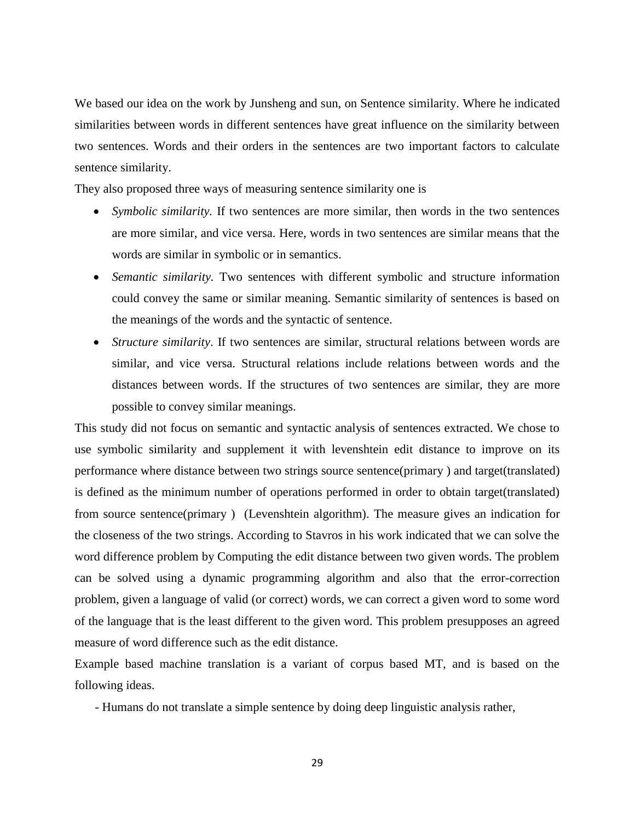We based our idea on the work by Junsheng and sun, on Sentence similarity. Where he indicated similarities between words in different sentences have great influence on the similarity between two sentences. Words and their orders in the sentences are two important factors to calculate sentence similarity.

They also proposed three ways of measuring sentence similarity one is

- *Symbolic similarity.* If two sentences are more similar, then words in the two sentences are more similar, and vice versa. Here, words in two sentences are similar means that the words are similar in symbolic or in semantics.
- *Semantic similarity.* Two sentences with different symbolic and structure information could convey the same or similar meaning. Semantic similarity of sentences is based on the meanings of the words and the syntactic of sentence.
- *Structure similarity*. If two sentences are similar, structural relations between words are similar, and vice versa. Structural relations include relations between words and the distances between words. If the structures of two sentences are similar, they are more possible to convey similar meanings.

This study did not focus on semantic and syntactic analysis of sentences extracted. We chose to use symbolic similarity and supplement it with levenshtein edit distance to improve on its performance where distance between two strings source sentence(primary ) and target(translated) is defined as the minimum number of operations performed in order to obtain target(translated) from source sentence(primary ) (Levenshtein algorithm). The measure gives an indication for the closeness of the two strings. According to Stavros in his work indicated that we can solve the word difference problem by Computing the edit distance between two given words. The problem can be solved using a dynamic programming algorithm and also that the error-correction problem, given a language of valid (or correct) words, we can correct a given word to some word of the language that is the least different to the given word. This problem presupposes an agreed measure of word difference such as the edit distance.

Example based machine translation is a variant of corpus based MT, and is based on the following ideas.

- Humans do not translate a simple sentence by doing deep linguistic analysis rather,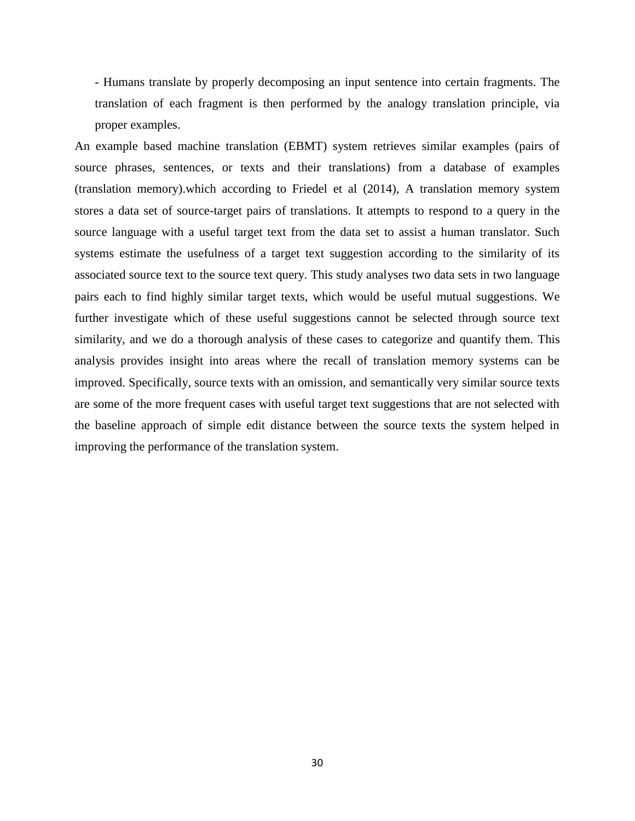- Humans translate by properly decomposing an input sentence into certain fragments. The translation of each fragment is then performed by the analogy translation principle, via proper examples.

An example based machine translation (EBMT) system retrieves similar examples (pairs of source phrases, sentences, or texts and their translations) from a database of examples (translation memory).which according to Friedel et al (2014), A translation memory system stores a data set of source-target pairs of translations. It attempts to respond to a query in the source language with a useful target text from the data set to assist a human translator. Such systems estimate the usefulness of a target text suggestion according to the similarity of its associated source text to the source text query. This study analyses two data sets in two language pairs each to find highly similar target texts, which would be useful mutual suggestions. We further investigate which of these useful suggestions cannot be selected through source text similarity, and we do a thorough analysis of these cases to categorize and quantify them. This analysis provides insight into areas where the recall of translation memory systems can be improved. Specifically, source texts with an omission, and semantically very similar source texts are some of the more frequent cases with useful target text suggestions that are not selected with the baseline approach of simple edit distance between the source texts the system helped in improving the performance of the translation system.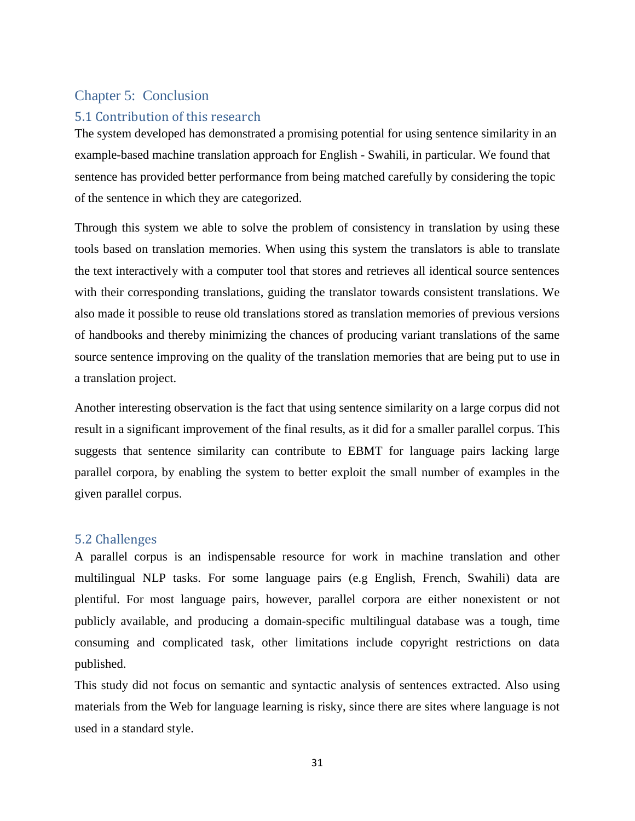### Chapter 5: Conclusion

### 5.1 Contribution of this research

The system developed has demonstrated a promising potential for using sentence similarity in an example-based machine translation approach for English - Swahili, in particular. We found that sentence has provided better performance from being matched carefully by considering the topic of the sentence in which they are categorized.

Through this system we able to solve the problem of consistency in translation by using these tools based on translation memories. When using this system the translators is able to translate the text interactively with a computer tool that stores and retrieves all identical source sentences with their corresponding translations, guiding the translator towards consistent translations. We also made it possible to reuse old translations stored as translation memories of previous versions of handbooks and thereby minimizing the chances of producing variant translations of the same source sentence improving on the quality of the translation memories that are being put to use in a translation project.

Another interesting observation is the fact that using sentence similarity on a large corpus did not result in a significant improvement of the final results, as it did for a smaller parallel corpus. This suggests that sentence similarity can contribute to EBMT for language pairs lacking large parallel corpora, by enabling the system to better exploit the small number of examples in the given parallel corpus.

#### 5.2 Challenges

A parallel corpus is an indispensable resource for work in machine translation and other multilingual NLP tasks. For some language pairs (e.g English, French, Swahili) data are plentiful. For most language pairs, however, parallel corpora are either nonexistent or not publicly available, and producing a domain-specific multilingual database was a tough, time consuming and complicated task, other limitations include copyright restrictions on data published.

This study did not focus on semantic and syntactic analysis of sentences extracted. Also using materials from the Web for language learning is risky, since there are sites where language is not used in a standard style.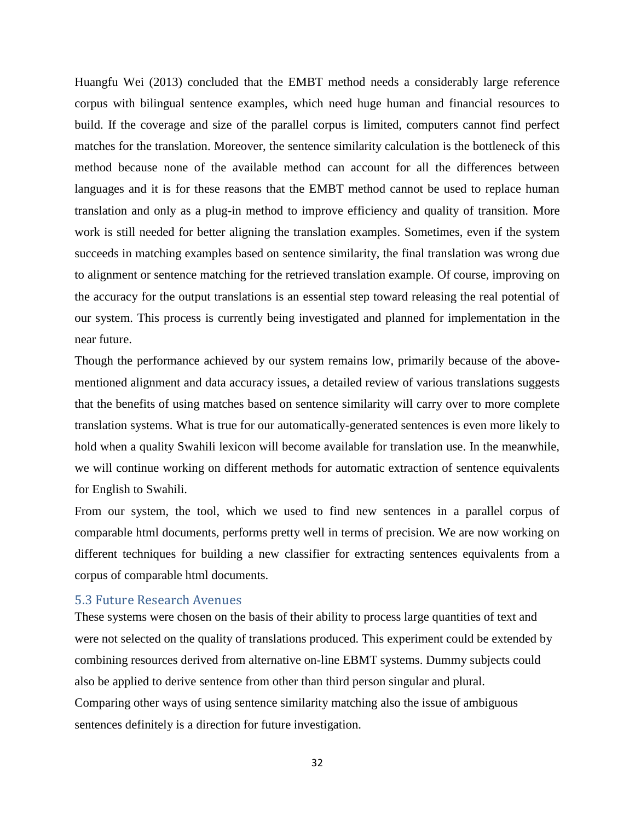Huangfu Wei (2013) concluded that the EMBT method needs a considerably large reference corpus with bilingual sentence examples, which need huge human and financial resources to build. If the coverage and size of the parallel corpus is limited, computers cannot find perfect matches for the translation. Moreover, the sentence similarity calculation is the bottleneck of this method because none of the available method can account for all the differences between languages and it is for these reasons that the EMBT method cannot be used to replace human translation and only as a plug-in method to improve efficiency and quality of transition. More work is still needed for better aligning the translation examples. Sometimes, even if the system succeeds in matching examples based on sentence similarity, the final translation was wrong due to alignment or sentence matching for the retrieved translation example. Of course, improving on the accuracy for the output translations is an essential step toward releasing the real potential of our system. This process is currently being investigated and planned for implementation in the near future.

Though the performance achieved by our system remains low, primarily because of the abovementioned alignment and data accuracy issues, a detailed review of various translations suggests that the benefits of using matches based on sentence similarity will carry over to more complete translation systems. What is true for our automatically-generated sentences is even more likely to hold when a quality Swahili lexicon will become available for translation use. In the meanwhile, we will continue working on different methods for automatic extraction of sentence equivalents for English to Swahili.

From our system, the tool, which we used to find new sentences in a parallel corpus of comparable html documents, performs pretty well in terms of precision. We are now working on different techniques for building a new classifier for extracting sentences equivalents from a corpus of comparable html documents.

#### 5.3 Future Research Avenues

These systems were chosen on the basis of their ability to process large quantities of text and were not selected on the quality of translations produced. This experiment could be extended by combining resources derived from alternative on-line EBMT systems. Dummy subjects could also be applied to derive sentence from other than third person singular and plural. Comparing other ways of using sentence similarity matching also the issue of ambiguous sentences definitely is a direction for future investigation.

32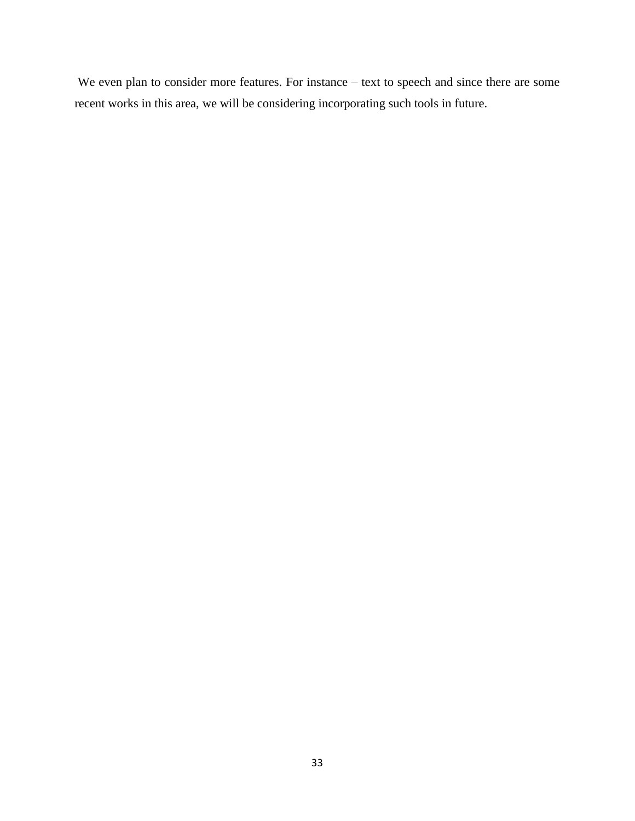We even plan to consider more features. For instance – text to speech and since there are some recent works in this area, we will be considering incorporating such tools in future.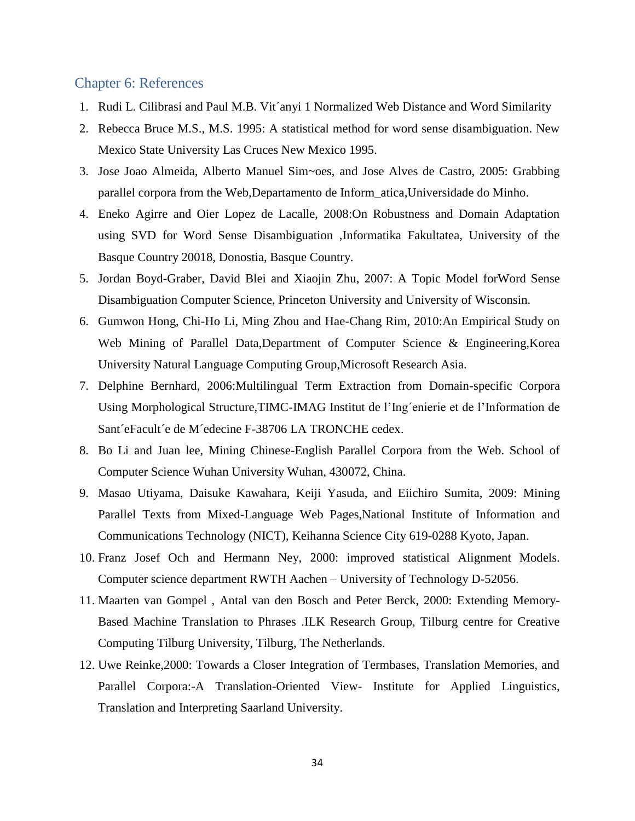#### Chapter 6: References

- 1. Rudi L. Cilibrasi and Paul M.B. Vit´anyi 1 Normalized Web Distance and Word Similarity
- 2. Rebecca Bruce M.S., M.S. 1995: A statistical method for word sense disambiguation. New Mexico State University Las Cruces New Mexico 1995.
- 3. Jose Joao Almeida, Alberto Manuel Sim~oes, and Jose Alves de Castro, 2005: Grabbing parallel corpora from the Web,Departamento de Inform\_atica,Universidade do Minho.
- 4. Eneko Agirre and Oier Lopez de Lacalle, 2008:On Robustness and Domain Adaptation using SVD for Word Sense Disambiguation ,Informatika Fakultatea, University of the Basque Country 20018, Donostia, Basque Country.
- 5. Jordan Boyd-Graber, David Blei and Xiaojin Zhu, 2007: A Topic Model forWord Sense Disambiguation Computer Science, Princeton University and University of Wisconsin.
- 6. Gumwon Hong, Chi-Ho Li, Ming Zhou and Hae-Chang Rim, 2010:An Empirical Study on Web Mining of Parallel Data,Department of Computer Science & Engineering,Korea University Natural Language Computing Group,Microsoft Research Asia.
- 7. Delphine Bernhard, 2006:Multilingual Term Extraction from Domain-specific Corpora Using Morphological Structure,TIMC-IMAG Institut de l'Ing´enierie et de l'Information de Sant´eFacult´e de M´edecine F-38706 LA TRONCHE cedex.
- 8. Bo Li and Juan lee, Mining Chinese-English Parallel Corpora from the Web. School of Computer Science Wuhan University Wuhan, 430072, China.
- 9. Masao Utiyama, Daisuke Kawahara, Keiji Yasuda, and Eiichiro Sumita, 2009: Mining Parallel Texts from Mixed-Language Web Pages,National Institute of Information and Communications Technology (NICT), Keihanna Science City 619-0288 Kyoto, Japan.
- 10. Franz Josef Och and Hermann Ney, 2000: improved statistical Alignment Models. Computer science department RWTH Aachen – University of Technology D-52056.
- 11. Maarten van Gompel , Antal van den Bosch and Peter Berck, 2000: Extending Memory-Based Machine Translation to Phrases .ILK Research Group, Tilburg centre for Creative Computing Tilburg University, Tilburg, The Netherlands.
- 12. Uwe Reinke,2000: Towards a Closer Integration of Termbases, Translation Memories, and Parallel Corpora:-A Translation-Oriented View- Institute for Applied Linguistics, Translation and Interpreting Saarland University.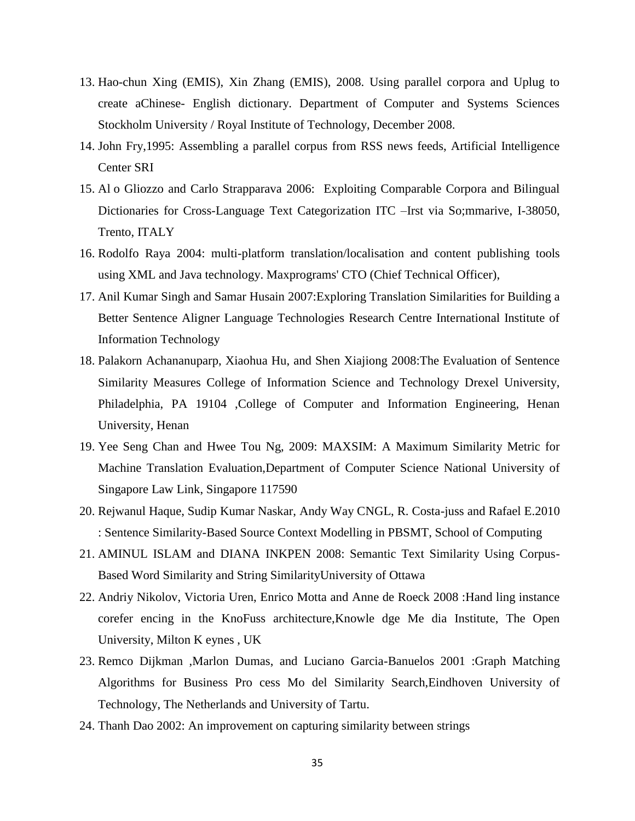- 13. Hao-chun Xing (EMIS), Xin Zhang (EMIS), 2008. Using parallel corpora and Uplug to create aChinese- English dictionary. Department of Computer and Systems Sciences Stockholm University / Royal Institute of Technology, December 2008.
- 14. John Fry,1995: Assembling a parallel corpus from RSS news feeds, Artificial Intelligence Center SRI
- 15. Al o Gliozzo and Carlo Strapparava 2006: Exploiting Comparable Corpora and Bilingual Dictionaries for Cross-Language Text Categorization ITC –Irst via So;mmarive, I-38050, Trento, ITALY
- 16. Rodolfo Raya 2004: multi-platform translation/localisation and content publishing tools using XML and Java technology. Maxprograms' CTO (Chief Technical Officer),
- 17. Anil Kumar Singh and Samar Husain 2007:Exploring Translation Similarities for Building a Better Sentence Aligner Language Technologies Research Centre International Institute of Information Technology
- 18. Palakorn Achananuparp, Xiaohua Hu, and Shen Xiajiong 2008:The Evaluation of Sentence Similarity Measures College of Information Science and Technology Drexel University, Philadelphia, PA 19104 ,College of Computer and Information Engineering, Henan University, Henan
- 19. Yee Seng Chan and Hwee Tou Ng, 2009: MAXSIM: A Maximum Similarity Metric for Machine Translation Evaluation,Department of Computer Science National University of Singapore Law Link, Singapore 117590
- 20. Rejwanul Haque, Sudip Kumar Naskar, Andy Way CNGL, R. Costa-juss and Rafael E.2010 : Sentence Similarity-Based Source Context Modelling in PBSMT, School of Computing
- 21. AMINUL ISLAM and DIANA INKPEN 2008: Semantic Text Similarity Using Corpus-Based Word Similarity and String SimilarityUniversity of Ottawa
- 22. Andriy Nikolov, Victoria Uren, Enrico Motta and Anne de Roeck 2008 :Hand ling instance corefer encing in the KnoFuss architecture,Knowle dge Me dia Institute, The Open University, Milton K eynes , UK
- 23. Remco Dijkman ,Marlon Dumas, and Luciano Garcia-Banuelos 2001 :Graph Matching Algorithms for Business Pro cess Mo del Similarity Search,Eindhoven University of Technology, The Netherlands and University of Tartu.
- 24. Thanh Dao 2002: An improvement on capturing similarity between strings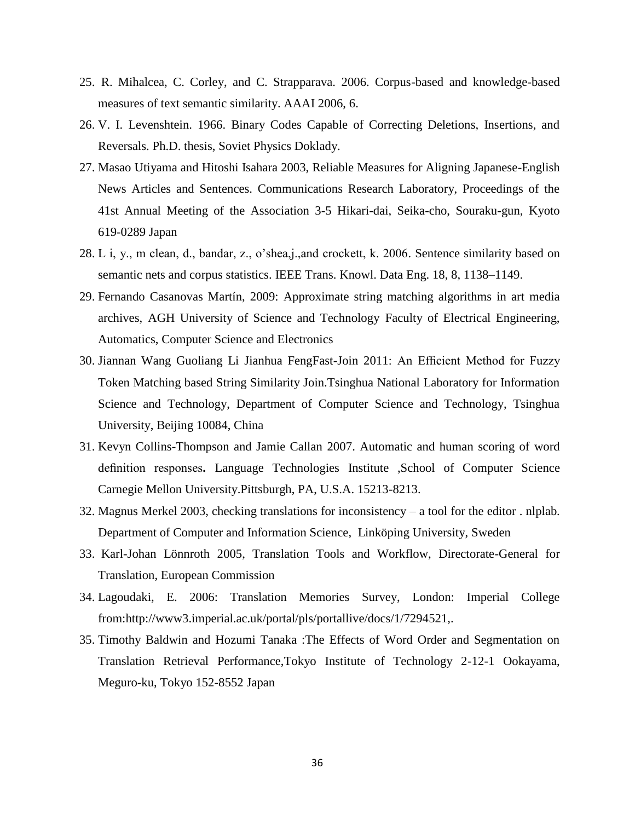- 25. R. Mihalcea, C. Corley, and C. Strapparava. 2006. Corpus-based and knowledge-based measures of text semantic similarity. AAAI 2006, 6.
- 26. V. I. Levenshtein. 1966. Binary Codes Capable of Correcting Deletions, Insertions, and Reversals. Ph.D. thesis, Soviet Physics Doklady.
- 27. Masao Utiyama and Hitoshi Isahara 2003, Reliable Measures for Aligning Japanese-English News Articles and Sentences. Communications Research Laboratory, Proceedings of the 41st Annual Meeting of the Association 3-5 Hikari-dai, Seika-cho, Souraku-gun, Kyoto 619-0289 Japan
- 28. L i, y., m clean, d., bandar, z., o'shea,j.,and crockett, k. 2006. Sentence similarity based on semantic nets and corpus statistics. IEEE Trans. Knowl. Data Eng. 18, 8, 1138–1149.
- 29. Fernando Casanovas Martín, 2009: Approximate string matching algorithms in art media archives, AGH University of Science and Technology Faculty of Electrical Engineering, Automatics, Computer Science and Electronics
- 30. Jiannan Wang Guoliang Li Jianhua FengFast-Join 2011: An Efficient Method for Fuzzy Token Matching based String Similarity Join.Tsinghua National Laboratory for Information Science and Technology, Department of Computer Science and Technology, Tsinghua University, Beijing 10084, China
- 31. Kevyn Collins-Thompson and Jamie Callan 2007. Automatic and human scoring of word definition responses**.** Language Technologies Institute ,School of Computer Science Carnegie Mellon University.Pittsburgh, PA, U.S.A. 15213-8213.
- 32. Magnus Merkel 2003, checking translations for inconsistency a tool for the editor . nlplab. Department of Computer and Information Science, Linköping University, Sweden
- 33. Karl-Johan Lönnroth 2005, Translation Tools and Workflow, Directorate-General for Translation, European Commission
- 34. Lagoudaki, E. 2006: Translation Memories Survey, London: Imperial College from:http://www3.imperial.ac.uk/portal/pls/portallive/docs/1/7294521,.
- 35. Timothy Baldwin and Hozumi Tanaka :The Effects of Word Order and Segmentation on Translation Retrieval Performance,Tokyo Institute of Technology 2-12-1 Ookayama, Meguro-ku, Tokyo 152-8552 Japan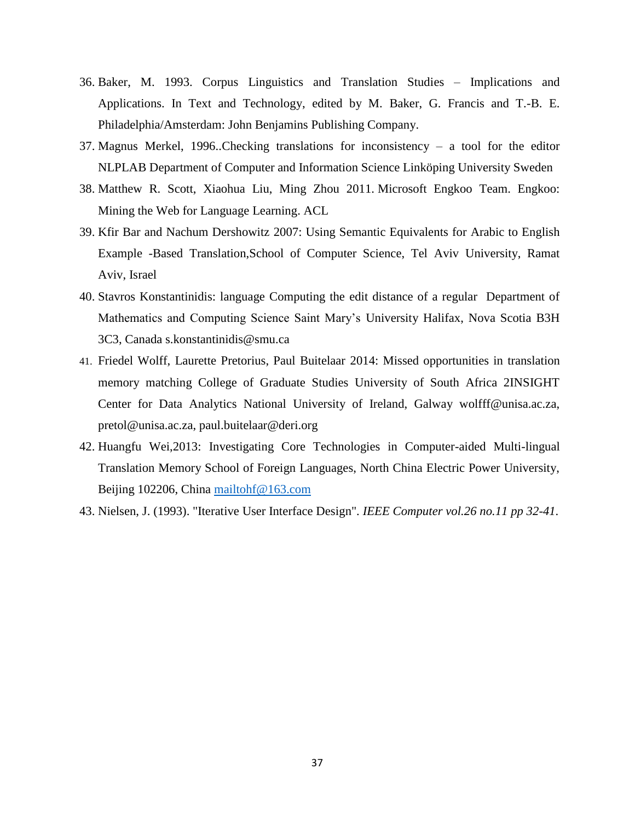- 36. Baker, M. 1993. Corpus Linguistics and Translation Studies Implications and Applications. In Text and Technology, edited by M. Baker, G. Francis and T.-B. E. Philadelphia/Amsterdam: John Benjamins Publishing Company.
- 37. Magnus Merkel, 1996..Checking translations for inconsistency a tool for the editor NLPLAB Department of Computer and Information Science Linköping University Sweden
- 38. Matthew R. Scott, Xiaohua Liu, Ming Zhou 2011. Microsoft Engkoo Team. Engkoo: Mining the Web for Language Learning. ACL
- 39. Kfir Bar and Nachum Dershowitz 2007: Using Semantic Equivalents for Arabic to English Example -Based Translation,School of Computer Science, Tel Aviv University, Ramat Aviv, Israel
- 40. Stavros Konstantinidis: language Computing the edit distance of a regular Department of Mathematics and Computing Science Saint Mary's University Halifax, Nova Scotia B3H 3C3, Canada s.konstantinidis@smu.ca
- 41. Friedel Wolff, Laurette Pretorius, Paul Buitelaar 2014: Missed opportunities in translation memory matching College of Graduate Studies University of South Africa 2INSIGHT Center for Data Analytics National University of Ireland, Galway wolfff@unisa.ac.za, pretol@unisa.ac.za, paul.buitelaar@deri.org
- 42. Huangfu Wei,2013: Investigating Core Technologies in Computer-aided Multi-lingual Translation Memory School of Foreign Languages, North China Electric Power University, Beijing 102206, China [mailtohf@163.com](mailto:mailtohf@163.com)
- 43. Nielsen, J. (1993). "Iterative User Interface Design". *IEEE Computer vol.26 no.11 pp 32-41*.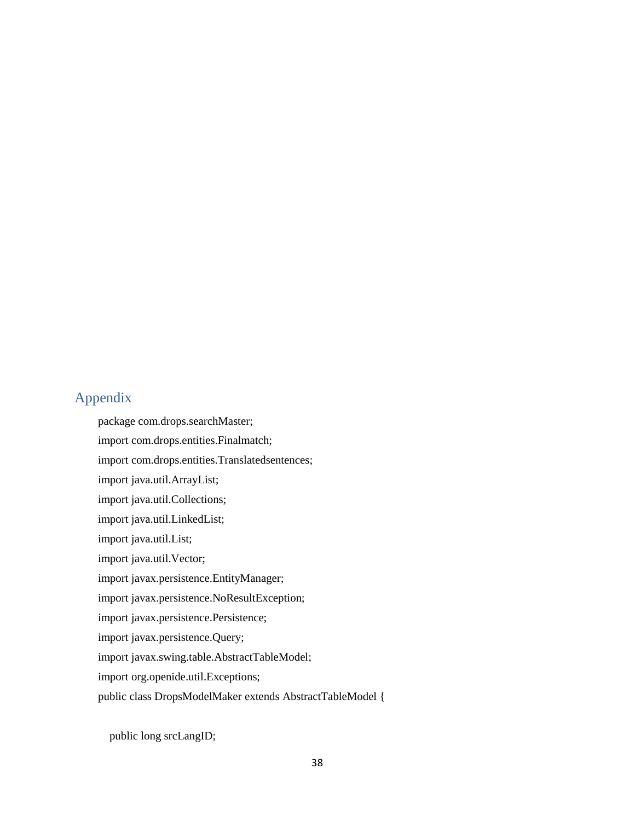# Appendix

package com.drops.searchMaster; import com.drops.entities.Finalmatch; import com.drops.entities.Translatedsentences; import java.util.ArrayList; import java.util.Collections; import java.util.LinkedList; import java.util.List; import java.util.Vector; import javax.persistence.EntityManager; import javax.persistence.NoResultException; import javax.persistence.Persistence; import javax.persistence.Query; import javax.swing.table.AbstractTableModel; import org.openide.util.Exceptions; public class DropsModelMaker extends AbstractTableModel {

public long srcLangID;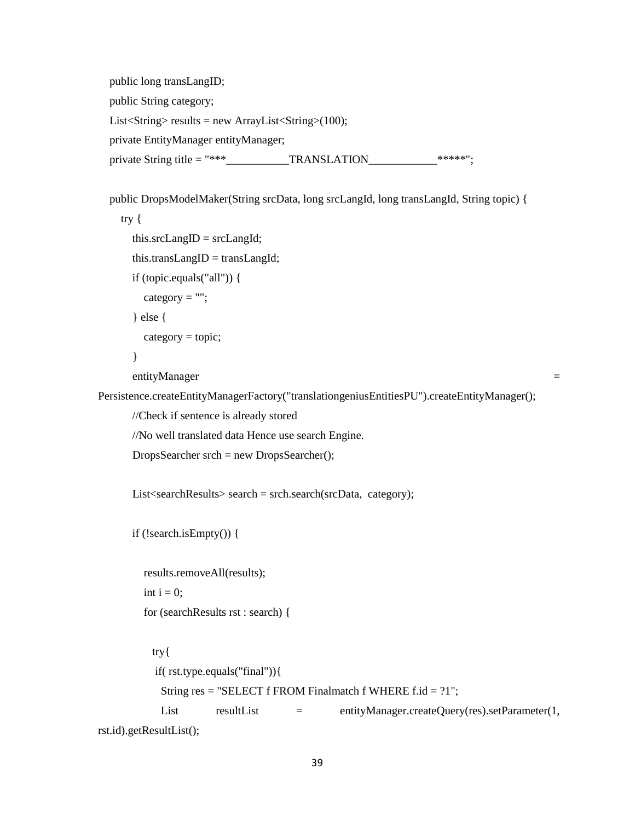public long transLangID; public String category; List<String> results = new ArrayList<String> $(100)$ ; private EntityManager entityManager; private String title =  $***$  TRANSLATION  $***$ \*\*\*\*\*";

```
 public DropsModelMaker(String srcData, long srcLangId, long transLangId, String topic) {
     try {
       this.srcLangID = srcLangId;
       this.transLangID = transLangId;
       if (topic.equals("all")) {
        category = "";
        } else {
        category = topic; }
       entityManager = 
Persistence.createEntityManagerFactory("translationgeniusEntitiesPU").createEntityManager();
       //Check if sentence is already stored 
       //No well translated data Hence use search Engine.
       DropsSearcher srch = new DropsSearcher();
      List<searchResults> search = srch.search(srcData, category);
       if (!search.isEmpty()) {
          results.removeAll(results);
        int i = 0;
          for (searchResults rst : search) {
           try{
            if( rst.type.equals("final")){
            String res = "SELECT f FROM Finalmatch f WHERE f.id = ?1";
            List resultList = entityManager.createQuery(res).setParameter(1,
rst.id).getResultList();
```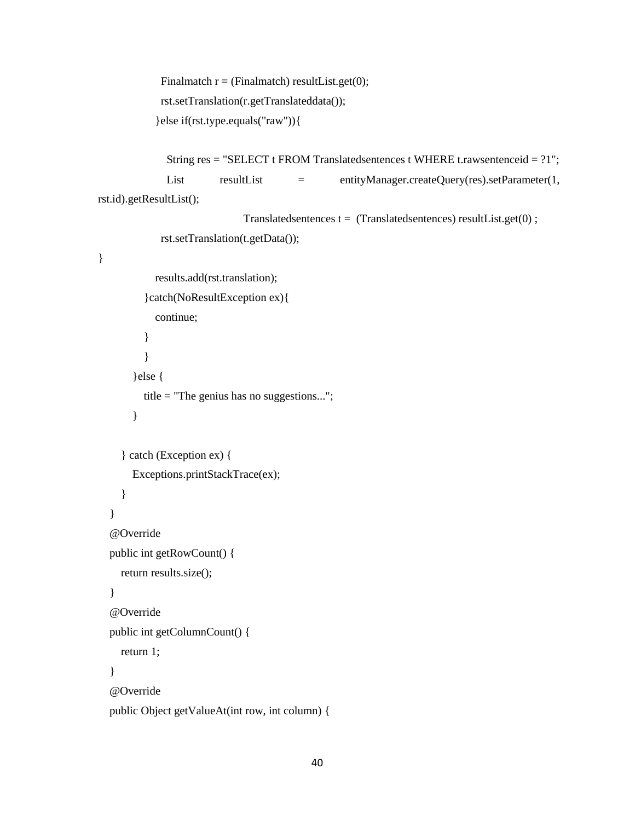```
Finalmatch r = (Finalmatch) resultList.get(0); rst.setTranslation(r.getTranslateddata());
 }else if(rst.type.equals("raw")){
```

```
 String res = "SELECT t FROM Translatedsentences t WHERE t.rawsentenceid = ?1";
            List resultList = entityManager.createQuery(res).setParameter(1,
rst.id).getResultList();
```

```
Translatedsentences t = (Translated sentences) resultList.get(0);
```

```
 rst.setTranslation(t.getData());
```
#### }

```
 results.add(rst.translation);
   }catch(NoResultException ex){
     continue;
   }
   }
 }else {
   title = "The genius has no suggestions...";
```

```
 }
```

```
 } catch (Exception ex) {
```

```
 Exceptions.printStackTrace(ex);
```

```
 }
```

```
 }
 @Override
```

```
 public int getRowCount() {
```

```
 return results.size();
```

```
 }
 @Override
```

```
 public int getColumnCount() {
```
return 1;

}

```
 @Override
```

```
 public Object getValueAt(int row, int column) {
```